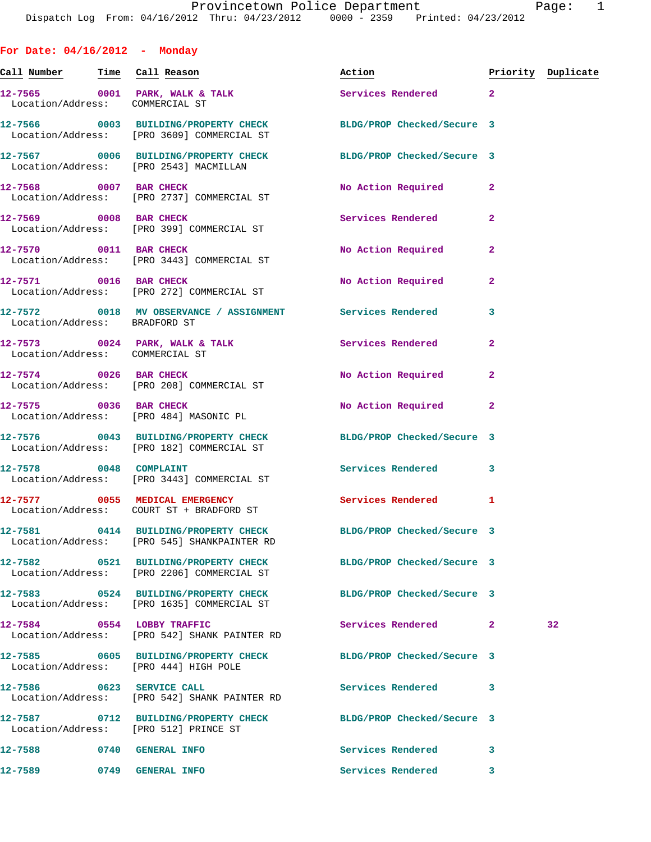**For Date: 04/16/2012 - Monday Call Number Time Call Reason Action Priority Duplicate** 12-7565 0001 PARK, WALK & TALK **Services Rendered** 2 Location/Address: COMMERCIAL ST **12-7566 0003 BUILDING/PROPERTY CHECK BLDG/PROP Checked/Secure 3**  Location/Address: [PRO 3609] COMMERCIAL ST **12-7567 0006 BUILDING/PROPERTY CHECK BLDG/PROP Checked/Secure 3**  Location/Address: [PRO 2543] MACMILLAN **12-7568 0007 BAR CHECK No Action Required 2**  Location/Address: [PRO 2737] COMMERCIAL ST **12-7569 0008 BAR CHECK Services Rendered 2**  Location/Address: [PRO 399] COMMERCIAL ST **12-7570 0011 BAR CHECK No Action Required 2**  Location/Address: [PRO 3443] COMMERCIAL ST 12-7571 0016 BAR CHECK No Action Required 2 Location/Address: [PRO 272] COMMERCIAL ST **12-7572 0018 MV OBSERVANCE / ASSIGNMENT Services Rendered 3**  Location/Address: BRADFORD ST **12-7573 0024 PARK, WALK & TALK Services Rendered 2**  Location/Address: COMMERCIAL ST 12-7574 0026 BAR CHECK **No action Required** 2 Location/Address: [PRO 208] COMMERCIAL ST **12-7575 0036 BAR CHECK No Action Required 2**  Location/Address: [PRO 484] MASONIC PL **12-7576 0043 BUILDING/PROPERTY CHECK BLDG/PROP Checked/Secure 3**  Location/Address: [PRO 182] COMMERCIAL ST 12-7578 0048 COMPLAINT **Services Rendered** 3 Location/Address: [PRO 3443] COMMERCIAL ST 12-7577 0055 MEDICAL EMERGENCY Services Rendered 1 Location/Address: COURT ST + BRADFORD ST **12-7581 0414 BUILDING/PROPERTY CHECK BLDG/PROP Checked/Secure 3**  Location/Address: [PRO 545] SHANKPAINTER RD **12-7582 0521 BUILDING/PROPERTY CHECK BLDG/PROP Checked/Secure 3**  Location/Address: [PRO 2206] COMMERCIAL ST **12-7583 0524 BUILDING/PROPERTY CHECK BLDG/PROP Checked/Secure 3**  Location/Address: [PRO 1635] COMMERCIAL ST **12-7584 0554 LOBBY TRAFFIC Services Rendered 2 32**  Location/Address: [PRO 542] SHANK PAINTER RD **12-7585 0605 BUILDING/PROPERTY CHECK BLDG/PROP Checked/Secure 3**  Location/Address: [PRO 444] HIGH POLE **12-7586 0623 SERVICE CALL Services Rendered 3**  Location/Address: [PRO 542] SHANK PAINTER RD

**12-7587 0712 BUILDING/PROPERTY CHECK BLDG/PROP Checked/Secure 3**  Location/Address: [PRO 512] PRINCE ST

**12-7588 0740 GENERAL INFO Services Rendered 3** 

**12-7589 0749 GENERAL INFO Services Rendered 3**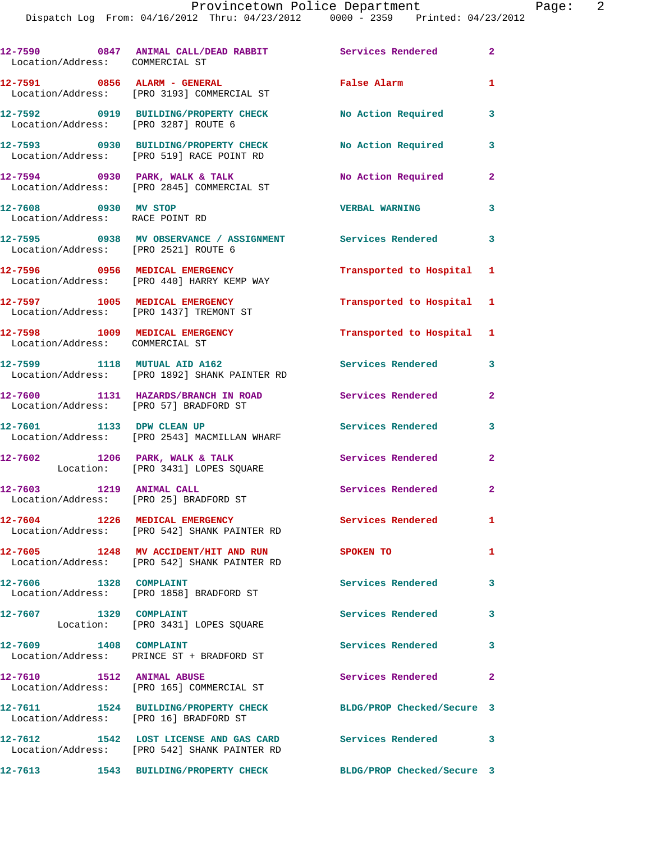| Location/Address: COMMERCIAL ST                                                   |                                   |                                                | 12-7590 0847 ANIMAL CALL/DEAD RABBIT Services Rendered 2    |                         |
|-----------------------------------------------------------------------------------|-----------------------------------|------------------------------------------------|-------------------------------------------------------------|-------------------------|
| 12-7591 0856 ALARM - GENERAL<br>Location/Address: [PRO 3193] COMMERCIAL ST        |                                   |                                                | False Alarm                                                 | 1                       |
| 12-7592 0919 BUILDING/PROPERTY CHECK<br>Location/Address: [PRO 3287] ROUTE 6      |                                   |                                                | No Action Required                                          | 3                       |
| 12-7593 0930 BUILDING/PROPERTY CHECK<br>Location/Address: [PRO 519] RACE POINT RD |                                   |                                                | No Action Required                                          | 3                       |
| $12 - 7594$ 0930 PARK, WALK & TALK<br>Location/Address: [PRO 2845] COMMERCIAL ST  |                                   |                                                | <b>No Action Required</b>                                   | $\mathbf{2}$            |
| 12-7608 0930 MV STOP<br>Location/Address: RACE POINT RD                           |                                   |                                                | <b>VERBAL WARNING</b>                                       | 3                       |
| Location/Address: [PRO 2521] ROUTE 6                                              |                                   |                                                | 12-7595 0938 MV OBSERVANCE / ASSIGNMENT Services Rendered 3 |                         |
| 12-7596 0956 MEDICAL EMERGENCY<br>Location/Address: [PRO 440] HARRY KEMP WAY      |                                   |                                                | Transported to Hospital 1                                   |                         |
| 12-7597 1005 MEDICAL EMERGENCY<br>Location/Address: [PRO 1437] TREMONT ST         |                                   |                                                | Transported to Hospital 1                                   |                         |
| 12-7598 1009 MEDICAL EMERGENCY<br>Location/Address: COMMERCIAL ST                 |                                   |                                                | Transported to Hospital 1                                   |                         |
| 12-7599 1118 MUTUAL AID A162<br>Location/Address: [PRO 1892] SHANK PAINTER RD     |                                   |                                                | Services Rendered                                           | $\overline{\mathbf{3}}$ |
| 12-7600 1131 HAZARDS/BRANCH IN ROAD<br>Location/Address: [PRO 57] BRADFORD ST     |                                   |                                                | Services Rendered                                           | $\mathbf{2}$            |
| 12-7601 1133 DPW CLEAN UP                                                         |                                   |                                                | Services Rendered                                           | 3                       |
| Location/Address: [PRO 2543] MACMILLAN WHARF<br>$12-7602$ 1206 PARK, WALK & TALK  |                                   |                                                | <b>Services Rendered</b>                                    | $\overline{2}$          |
| 12-7603 1219 ANIMAL CALL                                                          | Location: [PRO 3431] LOPES SQUARE |                                                | Services Rendered 2                                         |                         |
| Location/Address: [PRO 25] BRADFORD ST<br>12-7604 1226 MEDICAL EMERGENCY          |                                   |                                                | <b>Services Rendered</b>                                    | $\mathbf{1}$            |
| Location/Address: [PRO 542] SHANK PAINTER RD                                      |                                   | 12-7605 1248 MV ACCIDENT/HIT AND RUN SPOKEN TO |                                                             | 1                       |
| Location/Address: [PRO 542] SHANK PAINTER RD<br>12-7606 1328 COMPLAINT            |                                   |                                                | Services Rendered                                           | $\mathbf{3}$            |
| Location/Address: [PRO 1858] BRADFORD ST<br>12-7607 1329 COMPLAINT                |                                   |                                                | <b>Services Rendered</b>                                    | 3                       |
| 12-7609 1408 COMPLAINT                                                            | Location: [PRO 3431] LOPES SQUARE |                                                | Services Rendered 3                                         |                         |
| Location/Address: PRINCE ST + BRADFORD ST<br>12-7610 1512 ANIMAL ABUSE            |                                   |                                                | Services Rendered                                           | $\mathbf{2}$            |
| Location/Address: [PRO 165] COMMERCIAL ST                                         |                                   |                                                |                                                             |                         |
| 12-7611 1524 BUILDING/PROPERTY CHECK<br>Location/Address: [PRO 16] BRADFORD ST    |                                   |                                                | BLDG/PROP Checked/Secure 3                                  |                         |
| Location/Address: [PRO 542] SHANK PAINTER RD                                      |                                   |                                                | 12-7612 1542 LOST LICENSE AND GAS CARD Services Rendered 3  |                         |
| 12-7613 1543 BUILDING/PROPERTY CHECK                                              |                                   |                                                | BLDG/PROP Checked/Secure 3                                  |                         |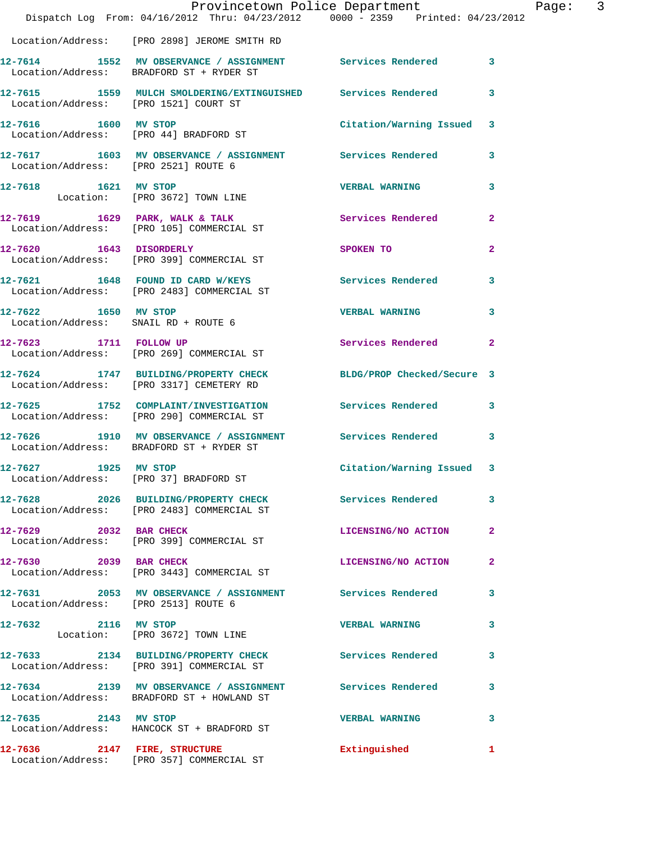|                                                              | Provincetown Police Department<br>Dispatch Log From: 04/16/2012 Thru: 04/23/2012 0000 - 2359 Printed: 04/23/2012 |                            |                         |
|--------------------------------------------------------------|------------------------------------------------------------------------------------------------------------------|----------------------------|-------------------------|
|                                                              | Location/Address: [PRO 2898] JEROME SMITH RD                                                                     |                            |                         |
|                                                              | 12-7614 1552 MV OBSERVANCE / ASSIGNMENT Services Rendered<br>Location/Address: BRADFORD ST + RYDER ST            |                            | 3                       |
| Location/Address: [PRO 1521] COURT ST                        | 12-7615 1559 MULCH SMOLDERING/EXTINGUISHED Services Rendered                                                     |                            | 3                       |
| 12-7616 1600 MV STOP                                         | Location/Address: [PRO 44] BRADFORD ST                                                                           | Citation/Warning Issued    | 3                       |
| Location/Address: [PRO 2521] ROUTE 6                         | 12-7617 1603 MV OBSERVANCE / ASSIGNMENT Services Rendered                                                        |                            | 3                       |
| 12-7618 1621 MV STOP                                         | Location: [PRO 3672] TOWN LINE                                                                                   | <b>VERBAL WARNING</b>      | 3                       |
|                                                              | 12-7619 1629 PARK, WALK & TALK<br>Location/Address: [PRO 105] COMMERCIAL ST                                      | Services Rendered          | 2                       |
| 12-7620 1643 DISORDERLY                                      | Location/Address: [PRO 399] COMMERCIAL ST                                                                        | SPOKEN TO                  | 2                       |
|                                                              | 12-7621 1648 FOUND ID CARD W/KEYS<br>Location/Address: [PRO 2483] COMMERCIAL ST                                  | <b>Services Rendered</b>   | 3                       |
| 12-7622 1650 MV STOP<br>Location/Address: SNAIL RD + ROUTE 6 |                                                                                                                  | <b>VERBAL WARNING</b>      | 3                       |
| 12-7623 1711 FOLLOW UP                                       | Location/Address: [PRO 269] COMMERCIAL ST                                                                        | <b>Services Rendered</b>   | $\overline{\mathbf{2}}$ |
|                                                              | 12-7624 1747 BUILDING/PROPERTY CHECK<br>Location/Address: [PRO 3317] CEMETERY RD                                 | BLDG/PROP Checked/Secure 3 |                         |
|                                                              | 12-7625 1752 COMPLAINT/INVESTIGATION Services Rendered<br>Location/Address: [PRO 290] COMMERCIAL ST              |                            | 3                       |
|                                                              | 12-7626 1910 MV OBSERVANCE / ASSIGNMENT Services Rendered<br>Location/Address: BRADFORD ST + RYDER ST            |                            | 3                       |
| 12-7627 1925 MV STOP                                         | Location/Address: [PRO 37] BRADFORD ST                                                                           | Citation/Warning Issued 3  |                         |
|                                                              | 12-7628 2026 BUILDING/PROPERTY CHECK Services Rendered<br>Location/Address: [PRO 2483] COMMERCIAL ST             |                            | 3                       |
| 12-7629 2032 BAR CHECK                                       | Location/Address: [PRO 399] COMMERCIAL ST                                                                        | LICENSING/NO ACTION        | 2                       |
| 12-7630 2039 BAR CHECK                                       | Location/Address: [PRO 3443] COMMERCIAL ST                                                                       | LICENSING/NO ACTION        | 2                       |
| Location/Address: [PRO 2513] ROUTE 6                         | 12-7631 2053 MV OBSERVANCE / ASSIGNMENT Services Rendered                                                        |                            | 3                       |
| 12-7632 2116 MV STOP                                         | Location: [PRO 3672] TOWN LINE                                                                                   | <b>VERBAL WARNING</b>      | 3                       |
|                                                              | 12-7633 2134 BUILDING/PROPERTY CHECK<br>Location/Address: [PRO 391] COMMERCIAL ST                                | <b>Services Rendered</b>   | 3                       |
|                                                              | 12-7634 2139 MV OBSERVANCE / ASSIGNMENT Services Rendered<br>Location/Address: BRADFORD ST + HOWLAND ST          |                            | 3                       |
| 12-7635 2143 MV STOP                                         | Location/Address: HANCOCK ST + BRADFORD ST                                                                       | <b>VERBAL WARNING</b>      | 3                       |
|                                                              | 12-7636 2147 FIRE, STRUCTURE<br>Location/Address: [PRO 357] COMMERCIAL ST                                        | Extinguished               | 1                       |

Page: 3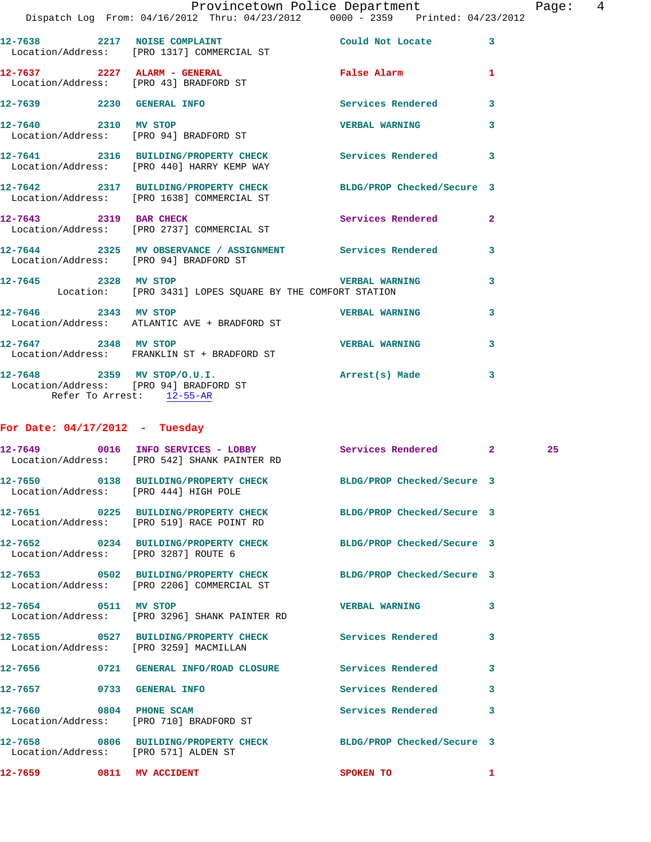|                                        | Dispatch Log From: 04/16/2012 Thru: 04/23/2012 0000 - 2359 Printed: 04/23/2012                                | Provincetown Police Department |              | Page: $4$ |  |
|----------------------------------------|---------------------------------------------------------------------------------------------------------------|--------------------------------|--------------|-----------|--|
|                                        |                                                                                                               |                                |              |           |  |
|                                        |                                                                                                               | Could Not Locate               | $\mathbf{3}$ |           |  |
|                                        | $12-7637$ 2227 ALARM - GENERAL<br>Location/Address: [PRO 43] BRADFORD ST                                      | False Alarm                    | $\mathbf{1}$ |           |  |
| 12-7639 2230 GENERAL INFO              |                                                                                                               | <b>Services Rendered</b>       | 3            |           |  |
| 12-7640 2310 MV STOP                   | Location/Address: [PRO 94] BRADFORD ST                                                                        | <b>VERBAL WARNING</b>          | 3            |           |  |
|                                        | 12-7641 2316 BUILDING/PROPERTY CHECK Services Rendered<br>Location/Address: [PRO 440] HARRY KEMP WAY          |                                | 3            |           |  |
|                                        | 12-7642 2317 BUILDING/PROPERTY CHECK BLDG/PROP Checked/Secure 3<br>Location/Address: [PRO 1638] COMMERCIAL ST |                                |              |           |  |
|                                        | 12-7643 2319 BAR CHECK<br>Location/Address: [PRO 2737] COMMERCIAL ST                                          | <b>Services Rendered</b>       | $\mathbf{2}$ |           |  |
|                                        |                                                                                                               |                                | 3            |           |  |
|                                        | 12-7645 2328 MV STOP 2008 2009 2009 2328 MV STOP<br>Location: [PRO 3431] LOPES SQUARE BY THE COMFORT STATION  |                                | 3            |           |  |
|                                        | 12-7646 2343 MV STOP<br>Location/Address: ATLANTIC AVE + BRADFORD ST                                          | <b>VERBAL WARNING</b>          | 3            |           |  |
|                                        | 12-7647 2348 MV STOP<br>Location/Address: FRANKLIN ST + BRADFORD ST                                           | <b>VERBAL WARNING</b>          | 3            |           |  |
| Location/Address: [PRO 94] BRADFORD ST | $12 - 7648$ 2359 MV STOP/O.U.I.                                                                               | Arrest(s) Made                 | 3            |           |  |

Refer To Arrest: 12-55-AR

## **For Date: 04/17/2012 - Tuesday**

|                          | 12-7649 0016 INFO SERVICES - LOBBY Services Rendered 2<br>Location/Address: [PRO 542] SHANK PAINTER RD                                                         |                   |                         | 25 |
|--------------------------|----------------------------------------------------------------------------------------------------------------------------------------------------------------|-------------------|-------------------------|----|
|                          | 12-7650 0138 BUILDING/PROPERTY CHECK BLDG/PROP Checked/Secure 3<br>Location/Address: [PRO 444] HIGH POLE                                                       |                   |                         |    |
|                          | 12-7651 0225 BUILDING/PROPERTY CHECK BLDG/PROP Checked/Secure 3<br>Location/Address: [PRO 519] RACE POINT RD                                                   |                   |                         |    |
|                          | 12-7652 0234 BUILDING/PROPERTY CHECK BLDG/PROP Checked/Secure 3<br>Location/Address: [PRO 3287] ROUTE 6                                                        |                   |                         |    |
|                          | 12-7653 0502 BUILDING/PROPERTY CHECK BLDG/PROP Checked/Secure 3<br>Location/Address: [PRO 2206] COMMERCIAL ST                                                  |                   |                         |    |
|                          | 12-7654 0511 MV STOP 120 2008 2009 2009 2010 2021 2030 2040 2050 2061 2072 2080 2091 2009 2010 2021 2022 2023<br>Location/Address: [PRO 3296] SHANK PAINTER RD |                   | 3                       |    |
|                          | 12-7655 0527 BUILDING/PROPERTY CHECK Services Rendered<br>Location/Address: [PRO 3259] MACMILLAN                                                               |                   | 3                       |    |
|                          | 12-7656 0721 GENERAL INFO/ROAD CLOSURE Services Rendered                                                                                                       |                   | 3                       |    |
|                          | 12-7657 0733 GENERAL INFO                                                                                                                                      | Services Rendered | 3                       |    |
|                          | 12-7660 0804 PHONE SCAM<br>Location/Address: [PRO 710] BRADFORD ST                                                                                             | Services Rendered | $\overline{\mathbf{3}}$ |    |
|                          | 12-7658 0806 BUILDING/PROPERTY CHECK BLDG/PROP Checked/Secure 3<br>Location/Address: [PRO 571] ALDEN ST                                                        |                   |                         |    |
| 12-7659 0811 MV ACCIDENT |                                                                                                                                                                | SPOKEN TO         | $\mathbf{1}$            |    |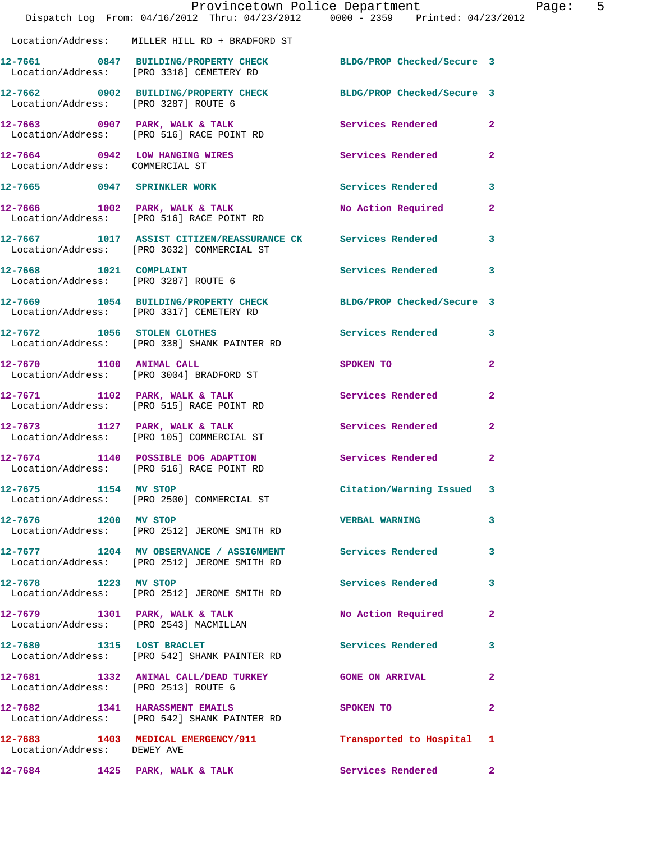|                                      | Dispatch Log From: 04/16/2012 Thru: 04/23/2012 0000 - 2359 Printed: 04/23/2012                               | Provincetown Police Department | Page: 5                 |
|--------------------------------------|--------------------------------------------------------------------------------------------------------------|--------------------------------|-------------------------|
|                                      | Location/Address: MILLER HILL RD + BRADFORD ST                                                               |                                |                         |
|                                      | 12-7661 0847 BUILDING/PROPERTY CHECK BLDG/PROP Checked/Secure 3<br>Location/Address: [PRO 3318] CEMETERY RD  |                                |                         |
| Location/Address: [PRO 3287] ROUTE 6 | 12-7662 0902 BUILDING/PROPERTY CHECK BLDG/PROP Checked/Secure 3                                              |                                |                         |
|                                      | 12-7663 0907 PARK, WALK & TALK 3 Services Rendered 2<br>Location/Address: [PRO 516] RACE POINT RD            |                                |                         |
| Location/Address: COMMERCIAL ST      | 12-7664 0942 LOW HANGING WIRES Services Rendered 2                                                           |                                |                         |
|                                      | 12-7665 0947 SPRINKLER WORK                                                                                  | Services Rendered 3            |                         |
|                                      | $12-7666$ 1002 PARK, WALK & TALK<br>Location/Address: [PRO 516] RACE POINT RD                                | No Action Required 2           |                         |
|                                      | 12-7667 1017 ASSIST CITIZEN/REASSURANCE CK Services Rendered 3<br>Location/Address: [PRO 3632] COMMERCIAL ST |                                |                         |
| Location/Address: [PRO 3287] ROUTE 6 | 12-7668 1021 COMPLAINT                                                                                       | Services Rendered 3            |                         |
|                                      | 12-7669 1054 BUILDING/PROPERTY CHECK BLDG/PROP Checked/Secure 3<br>Location/Address: [PRO 3317] CEMETERY RD  |                                |                         |
|                                      | 12-7672 1056 STOLEN CLOTHES<br>Location/Address: [PRO 338] SHANK PAINTER RD                                  | Services Rendered 3            |                         |
|                                      | 12-7670 1100 ANIMAL CALL<br>Location/Address: [PRO 3004] BRADFORD ST                                         | SPOKEN TO                      | $\mathbf{2}$            |
|                                      | 12-7671 1102 PARK, WALK & TALK 11 Services Rendered<br>Location/Address: [PRO 515] RACE POINT RD             |                                | $\overline{2}$          |
|                                      | $12 - 7673$ 1127 PARK, WALK & TALK<br>Location/Address: [PRO 105] COMMERCIAL ST                              | Services Rendered              | $\mathbf{2}$            |
|                                      | 12-7674 1140 POSSIBLE DOG ADAPTION Services Rendered 2<br>Location/Address: [PRO 516] RACE POINT RD          |                                |                         |
| 12-7675 1154 MV STOP                 | Location/Address: [PRO 2500] COMMERCIAL ST                                                                   | Citation/Warning Issued 3      |                         |
| 12-7676 1200 MV STOP                 | Location/Address: [PRO 2512] JEROME SMITH RD                                                                 | <b>VERBAL WARNING</b>          | 3                       |
|                                      | 12-7677 1204 MV OBSERVANCE / ASSIGNMENT Services Rendered 3<br>Location/Address: [PRO 2512] JEROME SMITH RD  |                                |                         |
| 12-7678 1223 MV STOP                 | Location/Address: [PRO 2512] JEROME SMITH RD                                                                 | Services Rendered              | 3                       |
|                                      | 12-7679 1301 PARK, WALK & TALK (NO Action Required Location/Address: [PRO 2543] MACMILLAN                    |                                | $\mathbf{2}$            |
|                                      | 12-7680 1315 LOST BRACLET<br>Location/Address: [PRO 542] SHANK PAINTER RD                                    | Services Rendered              | $\overline{\mathbf{3}}$ |
| Location/Address: [PRO 2513] ROUTE 6 | 12-7681 1332 ANIMAL CALL/DEAD TURKEY GONE ON ARRIVAL                                                         |                                | $\mathbf{2}$            |
|                                      | 12-7682 1341 HARASSMENT EMAILS<br>Location/Address: [PRO 542] SHANK PAINTER RD                               | <b>SPOKEN TO</b>               | $\mathbf{2}$            |
| Location/Address: DEWEY AVE          | 12-7683 1403 MEDICAL EMERGENCY/911 1 Transported to Hospital 1                                               |                                |                         |
|                                      | 12-7684 1425 PARK, WALK & TALK                                                                               | Services Rendered 2            |                         |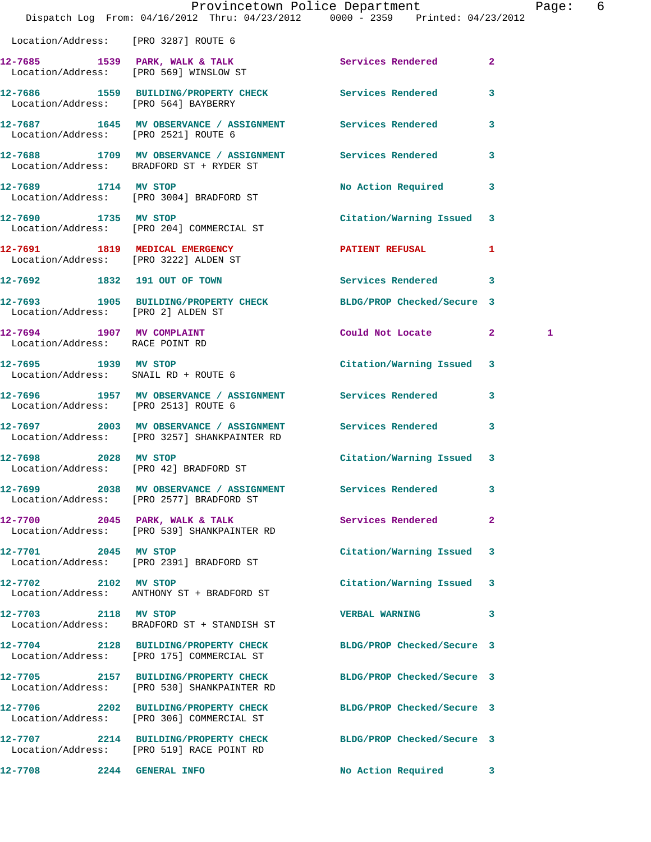|                                                              | Provincetown Police Department<br>Dispatch Log From: 04/16/2012 Thru: 04/23/2012 0000 - 2359 Printed: 04/23/2012 |                            |              | Page: 6 |  |
|--------------------------------------------------------------|------------------------------------------------------------------------------------------------------------------|----------------------------|--------------|---------|--|
| Location/Address: [PRO 3287] ROUTE 6                         |                                                                                                                  |                            |              |         |  |
|                                                              | 12-7685 1539 PARK, WALK & TALK<br>Location/Address: [PRO 569] WINSLOW ST                                         | Services Rendered 2        |              |         |  |
| Location/Address: [PRO 564] BAYBERRY                         | 12-7686 1559 BUILDING/PROPERTY CHECK Services Rendered 3                                                         |                            |              |         |  |
| Location/Address: [PRO 2521] ROUTE 6                         | 12-7687 1645 MV OBSERVANCE / ASSIGNMENT Services Rendered 3                                                      |                            |              |         |  |
|                                                              | 12-7688 1709 MV OBSERVANCE / ASSIGNMENT Services Rendered 3<br>Location/Address: BRADFORD ST + RYDER ST          |                            |              |         |  |
| 12-7689 1714 MV STOP                                         | Location/Address: [PRO 3004] BRADFORD ST                                                                         | No Action Required 3       |              |         |  |
|                                                              | 12-7690 1735 MV STOP<br>Location/Address: [PRO 204] COMMERCIAL ST                                                | Citation/Warning Issued 3  |              |         |  |
|                                                              | 12-7691 1819 MEDICAL EMERGENCY 1 PATIENT REFUSAL 1<br>Location/Address: [PRO 3222] ALDEN ST                      |                            |              |         |  |
|                                                              | 12-7692 1832 191 OUT OF TOWN                                                                                     | Services Rendered 3        |              |         |  |
| Location/Address: [PRO 2] ALDEN ST                           | 12-7693 1905 BUILDING/PROPERTY CHECK BLDG/PROP Checked/Secure 3                                                  |                            |              |         |  |
| 12-7694 1907 MV COMPLAINT<br>Location/Address: RACE POINT RD |                                                                                                                  | Could Not Locate 2         |              | 1       |  |
| 12-7695 1939 MV STOP                                         | Location/Address: SNAIL RD + ROUTE 6                                                                             | Citation/Warning Issued 3  |              |         |  |
| Location/Address: [PRO 2513] ROUTE 6                         | 12-7696 1957 MV OBSERVANCE / ASSIGNMENT Services Rendered 3                                                      |                            |              |         |  |
|                                                              | 12-7697 2003 MV OBSERVANCE / ASSIGNMENT Services Rendered 3<br>Location/Address: [PRO 3257] SHANKPAINTER RD      |                            |              |         |  |
|                                                              | 12-7698 2028 MV STOP<br>Location/Address: [PRO 42] BRADFORD ST                                                   | Citation/Warning Issued 3  |              |         |  |
|                                                              | 12-7699 2038 MV OBSERVANCE / ASSIGNMENT Services Rendered<br>Location/Address: [PRO 2577] BRADFORD ST            |                            | 3            |         |  |
|                                                              | 12-7700 2045 PARK, WALK & TALK<br>Location/Address: [PRO 539] SHANKPAINTER RD                                    | Services Rendered          | $\mathbf{2}$ |         |  |
| 12-7701 2045 MV STOP                                         | Location/Address: [PRO 2391] BRADFORD ST                                                                         | Citation/Warning Issued 3  |              |         |  |
| 12-7702 2102 MV STOP                                         | Location/Address: ANTHONY ST + BRADFORD ST                                                                       | Citation/Warning Issued 3  |              |         |  |
| 12-7703 2118 MV STOP                                         | Location/Address: BRADFORD ST + STANDISH ST                                                                      | VERBAL WARNING 3           |              |         |  |
|                                                              | 12-7704 2128 BUILDING/PROPERTY CHECK BLDG/PROP Checked/Secure 3<br>Location/Address: [PRO 175] COMMERCIAL ST     |                            |              |         |  |
|                                                              | 12-7705 2157 BUILDING/PROPERTY CHECK BLDG/PROP Checked/Secure 3<br>Location/Address: [PRO 530] SHANKPAINTER RD   |                            |              |         |  |
|                                                              | 12-7706 2202 BUILDING/PROPERTY CHECK<br>Location/Address: [PRO 306] COMMERCIAL ST                                | BLDG/PROP Checked/Secure 3 |              |         |  |
|                                                              | 12-7707 2214 BUILDING/PROPERTY CHECK BLDG/PROP Checked/Secure 3<br>Location/Address: [PRO 519] RACE POINT RD     |                            |              |         |  |
| 12-7708                                                      | <b>2244 GENERAL INFO</b>                                                                                         | No Action Required         | 3            |         |  |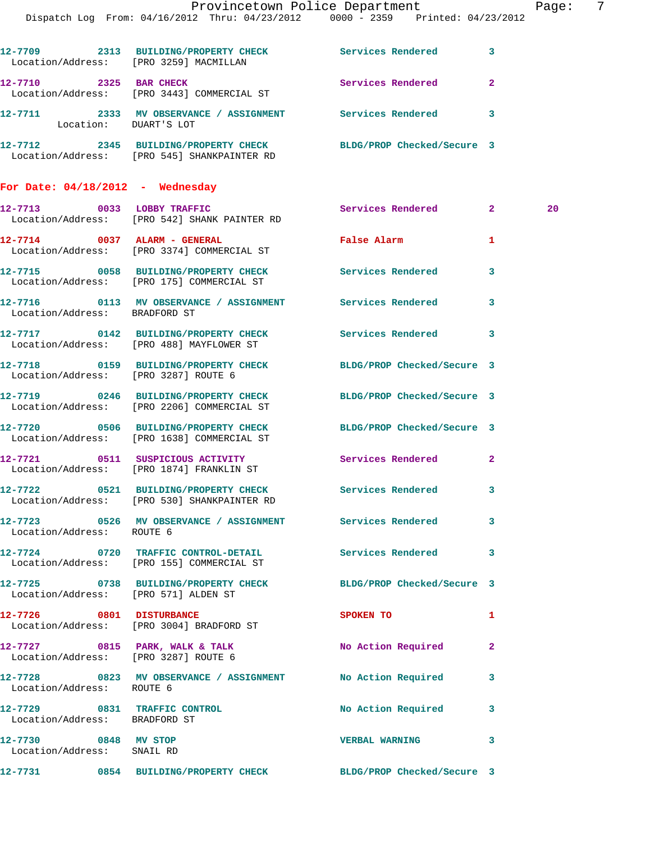|                                                    | Dispatch Log From: 04/16/2012 Thru: 04/23/2012 0000 - 2359 Printed: 04/23/2012                                 | Provincetown Police Department Page: 7 |              |    |  |
|----------------------------------------------------|----------------------------------------------------------------------------------------------------------------|----------------------------------------|--------------|----|--|
|                                                    | 12-7709 2313 BUILDING/PROPERTY CHECK Services Rendered 3<br>Location/Address: [PRO 3259] MACMILLAN             |                                        |              |    |  |
|                                                    | 12-7710 2325 BAR CHECK Services Rendered 2<br>Location/Address: [PRO 3443] COMMERCIAL ST                       |                                        |              |    |  |
| Location: DUART'S LOT                              | 12-7711 2333 MV OBSERVANCE / ASSIGNMENT Services Rendered 3                                                    |                                        |              |    |  |
|                                                    | 12-7712 2345 BUILDING/PROPERTY CHECK BLDG/PROP Checked/Secure 3<br>Location/Address: [PRO 545] SHANKPAINTER RD |                                        |              |    |  |
| For Date: $04/18/2012$ - Wednesday                 |                                                                                                                |                                        |              |    |  |
|                                                    | 12-7713 0033 LOBBY TRAFFIC<br>Location/Address: [PRO 542] SHANK PAINTER RD                                     | Services Rendered 2                    |              | 20 |  |
|                                                    | 12-7714 0037 ALARM - GENERAL<br>Location/Address: [PRO 3374] COMMERCIAL ST                                     | False Alarm 1                          |              |    |  |
|                                                    | 12-7715 0058 BUILDING/PROPERTY CHECK Services Rendered<br>Location/Address: [PRO 175] COMMERCIAL ST            |                                        | 3            |    |  |
| Location/Address: BRADFORD ST                      | 12-7716 0113 MV OBSERVANCE / ASSIGNMENT Services Rendered 3                                                    |                                        |              |    |  |
|                                                    | 12-7717 0142 BUILDING/PROPERTY CHECK Services Rendered 3<br>Location/Address: [PRO 488] MAYFLOWER ST           |                                        |              |    |  |
|                                                    | 12-7718 0159 BUILDING/PROPERTY CHECK BLDG/PROP Checked/Secure 3<br>Location/Address: [PRO 3287] ROUTE 6        |                                        |              |    |  |
|                                                    | 12-7719 0246 BUILDING/PROPERTY CHECK BLDG/PROP Checked/Secure 3<br>Location/Address: [PRO 2206] COMMERCIAL ST  |                                        |              |    |  |
|                                                    | 12-7720 0506 BUILDING/PROPERTY CHECK BLDG/PROP Checked/Secure 3<br>Location/Address: [PRO 1638] COMMERCIAL ST  |                                        |              |    |  |
|                                                    | 12-7721 0511 SUSPICIOUS ACTIVITY<br>Location/Address: [PRO 1874] FRANKLIN ST                                   | Services Rendered 2                    |              |    |  |
|                                                    | 12-7722 0521 BUILDING/PROPERTY CHECK Services Rendered 3<br>Location/Address: [PRO 530] SHANKPAINTER RD        |                                        |              |    |  |
| Location/Address: ROUTE 6                          | 12-7723 0526 MV OBSERVANCE / ASSIGNMENT Services Rendered 3                                                    |                                        |              |    |  |
|                                                    | 12-7724 0720 TRAFFIC CONTROL-DETAIL Services Rendered 3<br>Location/Address: [PRO 155] COMMERCIAL ST           |                                        |              |    |  |
| Location/Address: [PRO 571] ALDEN ST               | 12-7725 0738 BUILDING/PROPERTY CHECK BLDG/PROP Checked/Secure 3                                                |                                        |              |    |  |
|                                                    | 12-7726 0801 DISTURBANCE<br>Location/Address: [PRO 3004] BRADFORD ST                                           | SPOKEN TO AND THE SPOKEN TO            | $\mathbf{1}$ |    |  |
|                                                    | 12-7727 0815 PARK, WALK & TALK No Action Required 2<br>Location/Address: [PRO 3287] ROUTE 6                    |                                        |              |    |  |
| Location/Address: ROUTE 6                          | 12-7728 0823 MV OBSERVANCE / ASSIGNMENT No Action Required 3                                                   |                                        |              |    |  |
| Location/Address: BRADFORD ST                      | 12-7729 0831 TRAFFIC CONTROL No Action Required 3                                                              |                                        |              |    |  |
| 12-7730 0848 MV STOP<br>Location/Address: SNAIL RD |                                                                                                                | <b>VERBAL WARNING</b>                  | 3            |    |  |
|                                                    | 12-7731 0854 BUILDING/PROPERTY CHECK BLDG/PROP Checked/Secure 3                                                |                                        |              |    |  |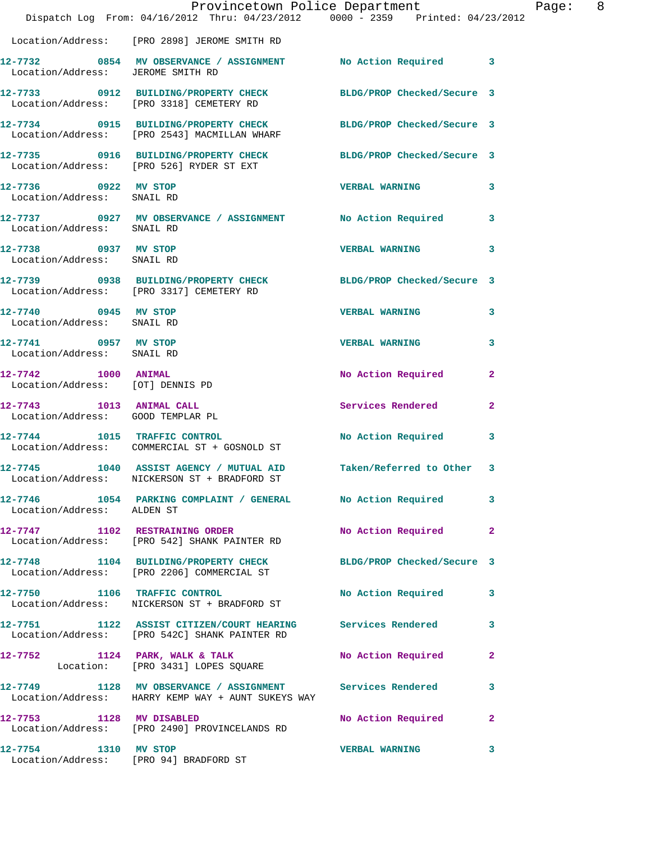|                                                               | Dispatch Log From: 04/16/2012 Thru: 04/23/2012 0000 - 2359 Printed: 04/23/2012                                  | Provincetown Police Department |                         | Page: 8 |  |
|---------------------------------------------------------------|-----------------------------------------------------------------------------------------------------------------|--------------------------------|-------------------------|---------|--|
|                                                               | Location/Address: [PRO 2898] JEROME SMITH RD                                                                    |                                |                         |         |  |
| Location/Address: JEROME SMITH RD                             | 12-7732 0854 MV OBSERVANCE / ASSIGNMENT No Action Required 3                                                    |                                |                         |         |  |
|                                                               | 12-7733 0912 BUILDING/PROPERTY CHECK BLDG/PROP Checked/Secure 3<br>Location/Address: [PRO 3318] CEMETERY RD     |                                |                         |         |  |
|                                                               | 12-7734 0915 BUILDING/PROPERTY CHECK BLDG/PROP Checked/Secure 3<br>Location/Address: [PRO 2543] MACMILLAN WHARF |                                |                         |         |  |
|                                                               | 12-7735 0916 BUILDING/PROPERTY CHECK BLDG/PROP Checked/Secure 3<br>Location/Address: [PRO 526] RYDER ST EXT     |                                |                         |         |  |
| 12-7736 0922 MV STOP<br>Location/Address: SNAIL RD            |                                                                                                                 | VERBAL WARNING 3               |                         |         |  |
|                                                               | 12-7737 0927 MV OBSERVANCE / ASSIGNMENT No Action Required 3<br>Location/Address: SNAIL RD                      |                                |                         |         |  |
| 12-7738 0937 MV STOP<br>Location/Address: SNAIL RD            |                                                                                                                 | <b>VERBAL WARNING</b>          | 3                       |         |  |
|                                                               | 12-7739 0938 BUILDING/PROPERTY CHECK BLDG/PROP Checked/Secure 3<br>Location/Address: [PRO 3317] CEMETERY RD     |                                |                         |         |  |
| 12-7740 0945 MV STOP<br>Location/Address: SNAIL RD            |                                                                                                                 | <b>VERBAL WARNING</b>          | 3                       |         |  |
| 12-7741 0957 MV STOP<br>Location/Address: SNAIL RD            |                                                                                                                 | <b>VERBAL WARNING</b>          | $\overline{\mathbf{3}}$ |         |  |
| 12-7742 1000 ANIMAL<br>Location/Address: [OT] DENNIS PD       |                                                                                                                 | No Action Required             | $\mathbf{2}$            |         |  |
| 12-7743 1013 ANIMAL CALL<br>Location/Address: GOOD TEMPLAR PL |                                                                                                                 | Services Rendered              | $\mathbf{2}$            |         |  |
|                                                               | 12-7744 1015 TRAFFIC CONTROL<br>Location/Address: COMMERCIAL ST + GOSNOLD ST                                    | No Action Required 3           |                         |         |  |
| 12-7745                                                       | 1040 ASSIST AGENCY / MUTUAL AID Taken/Referred to Other 3<br>Location/Address: NICKERSON ST + BRADFORD ST       |                                |                         |         |  |
| Location/Address: ALDEN ST                                    | 12-7746 1054 PARKING COMPLAINT / GENERAL No Action Required 3                                                   |                                |                         |         |  |
|                                                               | 12-7747 1102 RESTRAINING ORDER<br>Location/Address: [PRO 542] SHANK PAINTER RD                                  | No Action Required 2           |                         |         |  |
|                                                               | 12-7748 1104 BUILDING/PROPERTY CHECK BLDG/PROP Checked/Secure 3<br>Location/Address: [PRO 2206] COMMERCIAL ST   |                                |                         |         |  |
|                                                               | 12-7750 1106 TRAFFIC CONTROL<br>Location/Address: NICKERSON ST + BRADFORD ST                                    | No Action Required 3           |                         |         |  |
|                                                               | 12-7751 1122 ASSIST CITIZEN/COURT HEARING Services Rendered<br>Location/Address: [PRO 542C] SHANK PAINTER RD    |                                | 3                       |         |  |
|                                                               | 12-7752 1124 PARK, WALK & TALK<br>Location: [PRO 3431] LOPES SQUARE                                             | No Action Required 2           |                         |         |  |
|                                                               | 12-7749 1128 MV OBSERVANCE / ASSIGNMENT Services Rendered<br>Location/Address: HARRY KEMP WAY + AUNT SUKEYS WAY |                                | 3                       |         |  |
|                                                               | 12-7753 1128 MV DISABLED<br>Location/Address: [PRO 2490] PROVINCELANDS RD                                       | No Action Required 2           |                         |         |  |
| 12-7754 1310 MV STOP                                          | Location/Address: [PRO 94] BRADFORD ST                                                                          | <b>VERBAL WARNING</b>          | 3                       |         |  |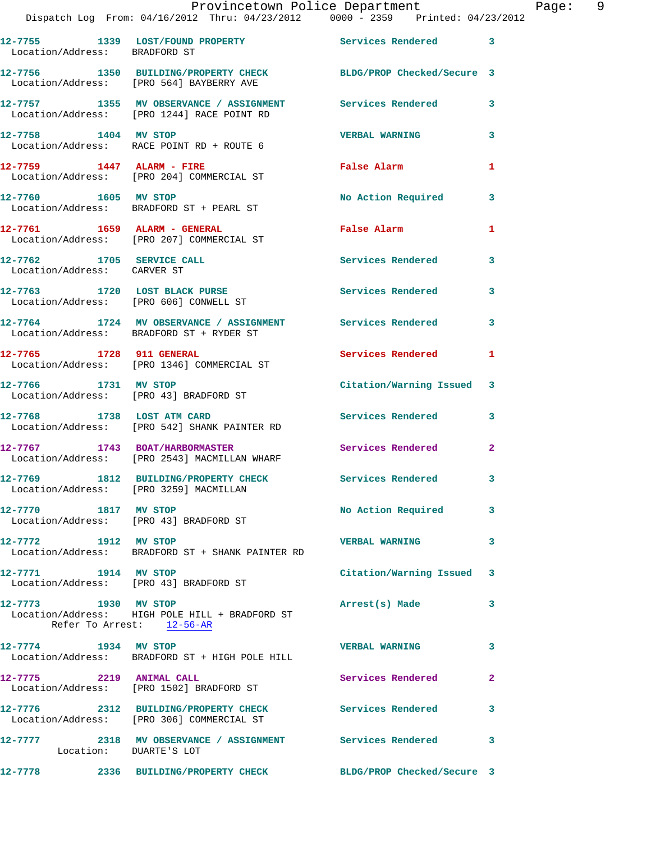|                                                          | Provincetown Police Department<br>Dispatch Log From: 04/16/2012 Thru: 04/23/2012 0000 - 2359 Printed: 04/23/2012 |                          |              |
|----------------------------------------------------------|------------------------------------------------------------------------------------------------------------------|--------------------------|--------------|
| Location/Address: BRADFORD ST                            | 12-7755 1339 LOST/FOUND PROPERTY Services Rendered                                                               |                          | 3            |
|                                                          | 12-7756 1350 BUILDING/PROPERTY CHECK BLDG/PROP Checked/Secure 3<br>Location/Address: [PRO 564] BAYBERRY AVE      |                          |              |
|                                                          | 12-7757 1355 MV OBSERVANCE / ASSIGNMENT Services Rendered<br>Location/Address: [PRO 1244] RACE POINT RD          |                          | 3            |
| 12-7758 1404 MV STOP                                     | Location/Address: RACE POINT RD + ROUTE 6                                                                        | <b>VERBAL WARNING</b>    | 3            |
|                                                          | $12-7759$ 1447 ALARM - FIRE<br>Location/Address: [PRO 204] COMMERCIAL ST                                         | <b>False Alarm</b>       | 1            |
| 12-7760 1605 MV STOP                                     | Location/Address: BRADFORD ST + PEARL ST                                                                         | No Action Required       | 3            |
|                                                          | 12-7761 1659 ALARM - GENERAL<br>Location/Address: [PRO 207] COMMERCIAL ST                                        | False Alarm              | 1            |
| 12-7762 1705 SERVICE CALL<br>Location/Address: CARVER ST |                                                                                                                  | Services Rendered        | 3            |
| 12-7763 1720 LOST BLACK PURSE                            | Location/Address: [PRO 606] CONWELL ST                                                                           | Services Rendered        | 3            |
|                                                          | 12-7764 1724 MV OBSERVANCE / ASSIGNMENT Services Rendered<br>Location/Address: BRADFORD ST + RYDER ST            |                          | 3            |
| 12-7765 1728 911 GENERAL                                 | Location/Address: [PRO 1346] COMMERCIAL ST                                                                       | <b>Services Rendered</b> | 1            |
| 12-7766 1731 MV STOP                                     | Location/Address: [PRO 43] BRADFORD ST                                                                           | Citation/Warning Issued  | 3            |
| 12-7768 1738 LOST ATM CARD                               | Location/Address: [PRO 542] SHANK PAINTER RD                                                                     | <b>Services Rendered</b> | 3            |
|                                                          | 12-7767 1743 BOAT/HARBORMASTER<br>Location/Address: [PRO 2543] MACMILLAN WHARF                                   | <b>Services Rendered</b> | $\mathbf{2}$ |
| Location/Address: [PRO 3259] MACMILLAN                   | 12-7769 1812 BUILDING/PROPERTY CHECK                                                                             | Services Rendered        |              |
| 12-7770 1817 MV STOP                                     | Location/Address: [PRO 43] BRADFORD ST                                                                           | No Action Required       | 3            |
| 12-7772 1912 MV STOP                                     | Location/Address: BRADFORD ST + SHANK PAINTER RD                                                                 | <b>VERBAL WARNING</b>    | 3            |
| 12-7771 1914 MV STOP                                     | Location/Address: [PRO 43] BRADFORD ST                                                                           | Citation/Warning Issued  | 3            |
| 12-7773 1930 MV STOP                                     | Location/Address: HIGH POLE HILL + BRADFORD ST<br>Refer To Arrest: 12-56-AR                                      | Arrest(s) Made           | 3            |
| 12-7774 1934 MV STOP                                     | Location/Address: BRADFORD ST + HIGH POLE HILL                                                                   | <b>VERBAL WARNING</b>    | 3            |
| 12-7775 2219 ANIMAL CALL                                 | Location/Address: [PRO 1502] BRADFORD ST                                                                         | Services Rendered        | $\mathbf{2}$ |
|                                                          | 12-7776 2312 BUILDING/PROPERTY CHECK Services Rendered<br>Location/Address: [PRO 306] COMMERCIAL ST              |                          | 3            |
| Location: DUARTE'S LOT                                   | 12-7777 2318 MV OBSERVANCE / ASSIGNMENT Services Rendered                                                        |                          | 3            |
|                                                          | 12-7778 2336 BUILDING/PROPERTY CHECK BLDG/PROP Checked/Secure 3                                                  |                          |              |

Page: 9<br>2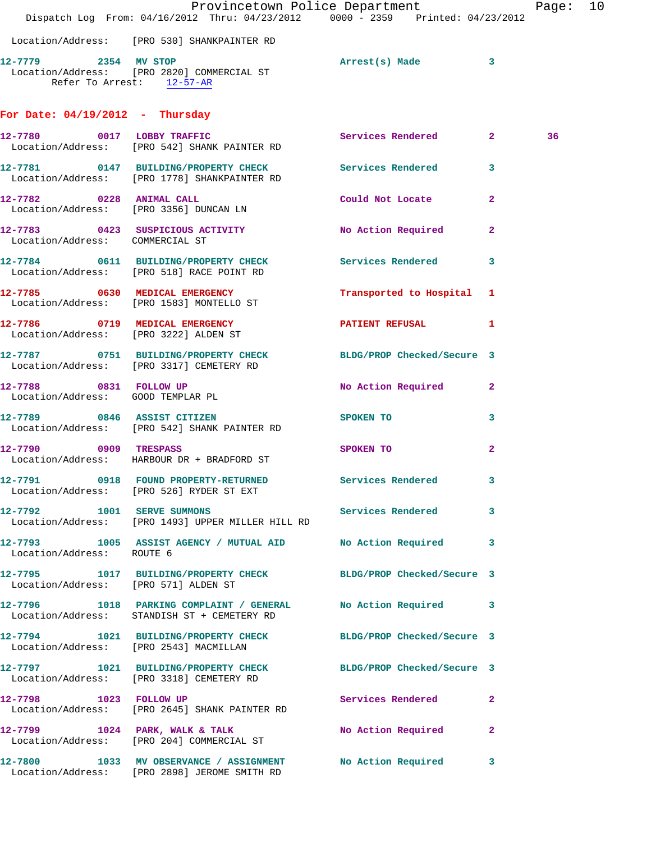|                                      | Provincetown Police Department The Page:<br>Dispatch Log From: 04/16/2012 Thru: 04/23/2012 0000 - 2359 Printed: 04/23/2012 |                           |              |    | 10 |
|--------------------------------------|----------------------------------------------------------------------------------------------------------------------------|---------------------------|--------------|----|----|
|                                      | Location/Address: [PRO 530] SHANKPAINTER RD                                                                                |                           |              |    |    |
| 12-7779 2354 MV STOP                 | Location/Address: [PRO 2820] COMMERCIAL ST<br>Refer To Arrest: 12-57-AR                                                    | Arrest(s) Made 3          |              |    |    |
| For Date: $04/19/2012$ - Thursday    |                                                                                                                            |                           |              |    |    |
| 12-7780 0017 LOBBY TRAFFIC           | Location/Address: [PRO 542] SHANK PAINTER RD                                                                               | Services Rendered 2       |              | 36 |    |
|                                      | 12-7781 0147 BUILDING/PROPERTY CHECK Services Rendered<br>Location/Address: [PRO 1778] SHANKPAINTER RD                     |                           | 3            |    |    |
|                                      | 12-7782 0228 ANIMAL CALL<br>Location/Address: [PRO 3356] DUNCAN LN                                                         | Could Not Locate          | $\mathbf{2}$ |    |    |
| Location/Address: COMMERCIAL ST      | 12-7783 0423 SUSPICIOUS ACTIVITY No Action Required                                                                        |                           | 2            |    |    |
|                                      | 12-7784 0611 BUILDING/PROPERTY CHECK Services Rendered<br>Location/Address: [PRO 518] RACE POINT RD                        |                           | 3            |    |    |
|                                      | 12-7785 0630 MEDICAL EMERGENCY<br>Location/Address: [PRO 1583] MONTELLO ST                                                 | Transported to Hospital 1 |              |    |    |
|                                      | 12-7786 0719 MEDICAL EMERGENCY <b>EXERGENER PATIENT REFUSAL</b> 1<br>Location/Address: [PRO 3222] ALDEN ST                 |                           |              |    |    |
|                                      | 12-7787 0751 BUILDING/PROPERTY CHECK BLDG/PROP Checked/Secure 3<br>Location/Address: [PRO 3317] CEMETERY RD                |                           |              |    |    |
| Location/Address: GOOD TEMPLAR PL    | 12-7788 0831 FOLLOW UP                                                                                                     | No Action Required        | $\mathbf{2}$ |    |    |
|                                      | 12-7789 0846 ASSIST CITIZEN<br>Location/Address: [PRO 542] SHANK PAINTER RD                                                | SPOKEN TO                 | 3            |    |    |
|                                      | 12-7790 0909 TRESPASS<br>Location/Address: HARBOUR DR + BRADFORD ST                                                        | SPOKEN TO                 | $\mathbf{2}$ |    |    |
|                                      | 12-7791 0918 FOUND PROPERTY-RETURNED<br>Location/Address: [PRO 526] RYDER ST EXT                                           | Services Rendered         |              |    |    |
|                                      | 12-7792 1001 SERVE SUMMONS Services Rendered 3<br>Location/Address: [PRO 1493] UPPER MILLER HILL RD                        |                           |              |    |    |
| Location/Address: ROUTE 6            | 12-7793 1005 ASSIST AGENCY / MUTUAL AID No Action Required                                                                 |                           | 3            |    |    |
| Location/Address: [PRO 571] ALDEN ST | 12-7795 1017 BUILDING/PROPERTY CHECK BLDG/PROP Checked/Secure 3                                                            |                           |              |    |    |
|                                      | 12-7796 1018 PARKING COMPLAINT / GENERAL No Action Required 3<br>Location/Address: STANDISH ST + CEMETERY RD               |                           |              |    |    |
|                                      | 12-7794 1021 BUILDING/PROPERTY CHECK BLDG/PROP Checked/Secure 3<br>Location/Address: [PRO 2543] MACMILLAN                  |                           |              |    |    |
|                                      | 12-7797 1021 BUILDING/PROPERTY CHECK BLDG/PROP Checked/Secure 3<br>Location/Address: [PRO 3318] CEMETERY RD                |                           |              |    |    |
|                                      | 12-7798 1023 FOLLOW UP<br>Location/Address: [PRO 2645] SHANK PAINTER RD                                                    | Services Rendered         | $\mathbf{2}$ |    |    |
|                                      | 12-7799 1024 PARK, WALK & TALK<br>Location/Address: [PRO 204] COMMERCIAL ST                                                | No Action Required        | $\mathbf{2}$ |    |    |
|                                      | 12-7800 1033 MV OBSERVANCE / ASSIGNMENT No Action Required<br>Location/Address: [PRO 2898] JEROME SMITH RD                 |                           | 3            |    |    |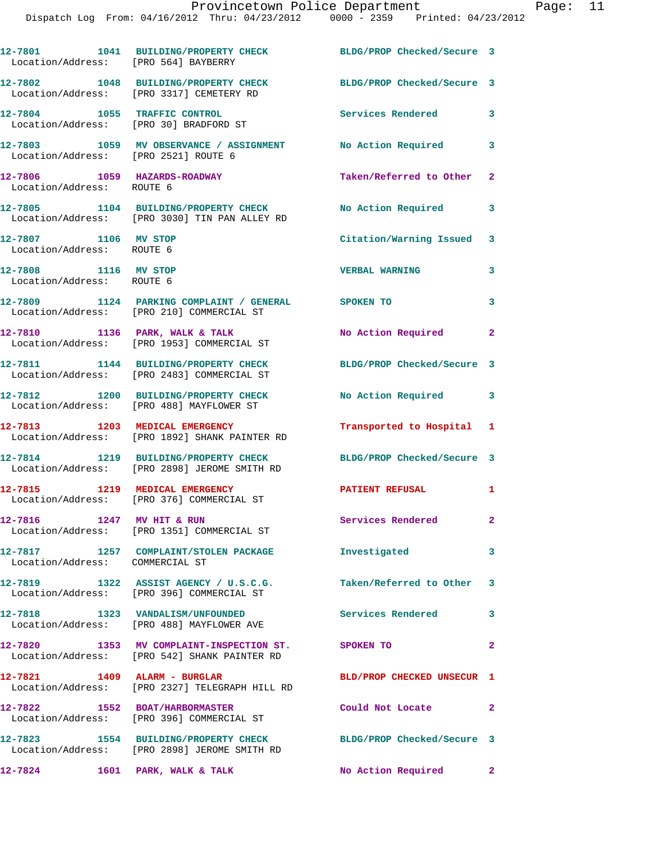| Location/Address: [PRO 564] BAYBERRY                                   | 12-7801 1041 BUILDING/PROPERTY CHECK                                                               | BLDG/PROP Checked/Secure 3 |                |
|------------------------------------------------------------------------|----------------------------------------------------------------------------------------------------|----------------------------|----------------|
|                                                                        | 12-7802 1048 BUILDING/PROPERTY CHECK<br>Location/Address: [PRO 3317] CEMETERY RD                   | BLDG/PROP Checked/Secure 3 |                |
| 12-7804 1055 TRAFFIC CONTROL<br>Location/Address: [PRO 30] BRADFORD ST |                                                                                                    | Services Rendered          | 3              |
| Location/Address: [PRO 2521] ROUTE 6                                   | 12-7803 1059 MV OBSERVANCE / ASSIGNMENT No Action Required                                         |                            | 3              |
| 12-7806 1059 HAZARDS-ROADWAY<br>Location/Address: ROUTE 6              |                                                                                                    | Taken/Referred to Other    | $\mathbf{2}$   |
|                                                                        | 12-7805 1104 BUILDING/PROPERTY CHECK<br>Location/Address: [PRO 3030] TIN PAN ALLEY RD              | No Action Required         | 3              |
| 12-7807 1106 MV STOP<br>Location/Address: ROUTE 6                      |                                                                                                    | Citation/Warning Issued 3  |                |
| 12-7808 1116 MV STOP<br>Location/Address: ROUTE 6                      |                                                                                                    | <b>VERBAL WARNING</b>      | 3              |
|                                                                        | 12-7809 1124 PARKING COMPLAINT / GENERAL SPOKEN TO<br>Location/Address: [PRO 210] COMMERCIAL ST    |                            | 3              |
|                                                                        | 12-7810 1136 PARK, WALK & TALK<br>Location/Address: [PRO 1953] COMMERCIAL ST                       | No Action Required         | $\mathbf{2}$   |
|                                                                        | 12-7811 1144 BUILDING/PROPERTY CHECK<br>Location/Address: [PRO 2483] COMMERCIAL ST                 | BLDG/PROP Checked/Secure 3 |                |
|                                                                        | 12-7812 1200 BUILDING/PROPERTY CHECK<br>Location/Address: [PRO 488] MAYFLOWER ST                   | No Action Required         | 3              |
| 12-7813 1203 MEDICAL EMERGENCY                                         | Location/Address: [PRO 1892] SHANK PAINTER RD                                                      | Transported to Hospital 1  |                |
|                                                                        | 12-7814 1219 BUILDING/PROPERTY CHECK<br>Location/Address: [PRO 2898] JEROME SMITH RD               | BLDG/PROP Checked/Secure 3 |                |
| 12-7815 1219 MEDICAL EMERGENCY                                         | Location/Address: [PRO 376] COMMERCIAL ST                                                          | <b>PATIENT REFUSAL</b>     | 1              |
| 12-7816 1247 MV HIT & RUN                                              | Location/Address: [PRO 1351] COMMERCIAL ST                                                         | <b>Services Rendered</b>   | $\mathbf{2}^-$ |
| Location/Address: COMMERCIAL ST                                        | 12-7817 1257 COMPLAINT/STOLEN PACKAGE                                                              | Investigated               | $\mathbf{3}$   |
|                                                                        | 12-7819 1322 ASSIST AGENCY / U.S.C.G.<br>Location/Address: [PRO 396] COMMERCIAL ST                 | Taken/Referred to Other 3  |                |
|                                                                        | 12-7818 1323 VANDALISM/UNFOUNDED<br>Location/Address: [PRO 488] MAYFLOWER AVE                      | Services Rendered 3        |                |
|                                                                        | 12-7820 1353 MV COMPLAINT-INSPECTION ST. SPOKEN TO<br>Location/Address: [PRO 542] SHANK PAINTER RD |                            | $\mathbf{2}$   |
| 12-7821 1409 ALARM - BURGLAR                                           | Location/Address: [PRO 2327] TELEGRAPH HILL RD                                                     | BLD/PROP CHECKED UNSECUR 1 |                |
|                                                                        | 12-7822 1552 BOAT/HARBORMASTER<br>Location/Address: [PRO 396] COMMERCIAL ST                        | Could Not Locate           | 2              |
|                                                                        | 12-7823 1554 BUILDING/PROPERTY CHECK<br>Location/Address: [PRO 2898] JEROME SMITH RD               | BLDG/PROP Checked/Secure 3 |                |
|                                                                        | 12-7824 1601 PARK, WALK & TALK                                                                     | No Action Required 2       |                |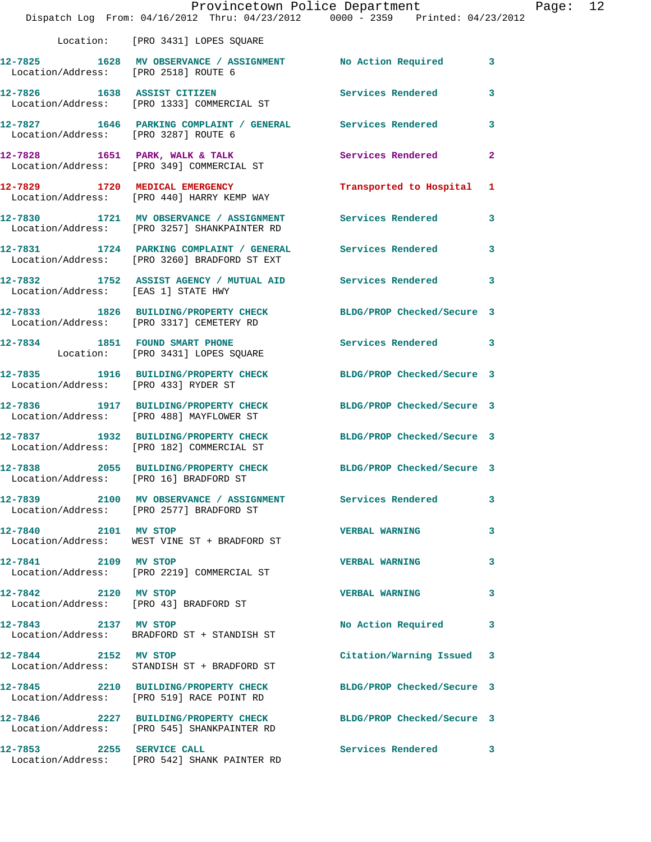|                                      | Dispatch Log From: 04/16/2012 Thru: 04/23/2012 0000 - 2359 Printed: 04/23/2012                                 | Provincetown Police Department Fage: 12 |              |  |
|--------------------------------------|----------------------------------------------------------------------------------------------------------------|-----------------------------------------|--------------|--|
|                                      | Location: [PRO 3431] LOPES SQUARE                                                                              |                                         |              |  |
|                                      | 12-7825 1628 MV OBSERVANCE / ASSIGNMENT No Action Required 3<br>Location/Address: [PRO 2518] ROUTE 6           |                                         |              |  |
|                                      | 12-7826 1638 ASSIST CITIZEN 5 Services Rendered 3<br>Location/Address: [PRO 1333] COMMERCIAL ST                |                                         |              |  |
|                                      | 12-7827 1646 PARKING COMPLAINT / GENERAL Services Rendered 3<br>Location/Address: [PRO 3287] ROUTE 6           |                                         |              |  |
|                                      | 12-7828 1651 PARK, WALK & TALK (2008) Services Rendered Location/Address: [PRO 349] COMMERCIAL ST              |                                         | $\mathbf{2}$ |  |
|                                      | 12-7829 1720 MEDICAL EMERGENCY 1 Transported to Hospital 1<br>Location/Address: [PRO 440] HARRY KEMP WAY       |                                         |              |  |
|                                      | 12-7830 1721 MV OBSERVANCE / ASSIGNMENT Services Rendered 3<br>Location/Address: [PRO 3257] SHANKPAINTER RD    |                                         |              |  |
|                                      | 12-7831 1724 PARKING COMPLAINT / GENERAL Services Rendered 3<br>Location/Address: [PRO 3260] BRADFORD ST EXT   |                                         |              |  |
| Location/Address: [EAS 1] STATE HWY  | 12-7832 1752 ASSIST AGENCY / MUTUAL AID Services Rendered 3                                                    |                                         |              |  |
|                                      | 12-7833 1826 BUILDING/PROPERTY CHECK BLDG/PROP Checked/Secure 3<br>Location/Address: [PRO 3317] CEMETERY RD    |                                         |              |  |
|                                      | 12-7834 1851 FOUND SMART PHONE 12-7834 Services Rendered 3<br>Location: [PRO 3431] LOPES SQUARE                |                                         |              |  |
| Location/Address: [PRO 433] RYDER ST | 12-7835 1916 BUILDING/PROPERTY CHECK BLDG/PROP Checked/Secure 3                                                |                                         |              |  |
|                                      | 12-7836 1917 BUILDING/PROPERTY CHECK BLDG/PROP Checked/Secure 3<br>Location/Address: [PRO 488] MAYFLOWER ST    |                                         |              |  |
|                                      | 12-7837 1932 BUILDING/PROPERTY CHECK BLDG/PROP Checked/Secure 3<br>Location/Address: [PRO 182] COMMERCIAL ST   |                                         |              |  |
|                                      | 12-7838 2055 BUILDING/PROPERTY CHECK BLDG/PROP Checked/Secure 3<br>Location/Address: [PRO 16] BRADFORD ST      |                                         |              |  |
|                                      | 12-7839 2100 MV OBSERVANCE / ASSIGNMENT Services Rendered<br>Location/Address: [PRO 2577] BRADFORD ST          |                                         | 3            |  |
| 12-7840 2101 MV STOP                 | Location/Address: WEST VINE ST + BRADFORD ST                                                                   | <b>VERBAL WARNING</b>                   | 3            |  |
| 12-7841 2109 MV STOP                 | Location/Address: [PRO 2219] COMMERCIAL ST                                                                     | <b>VERBAL WARNING</b>                   | 3            |  |
| 12-7842 2120 MV STOP                 | Location/Address: [PRO 43] BRADFORD ST                                                                         | <b>VERBAL WARNING</b>                   | 3            |  |
|                                      | 12-7843 2137 MV STOP<br>Location/Address: BRADFORD ST + STANDISH ST                                            | No Action Required 3                    |              |  |
| 12-7844 2152 MV STOP                 | Location/Address: STANDISH ST + BRADFORD ST                                                                    | Citation/Warning Issued 3               |              |  |
|                                      | 12-7845 2210 BUILDING/PROPERTY CHECK<br>Location/Address: [PRO 519] RACE POINT RD                              | BLDG/PROP Checked/Secure 3              |              |  |
|                                      | 12-7846 2227 BUILDING/PROPERTY CHECK BLDG/PROP Checked/Secure 3<br>Location/Address: [PRO 545] SHANKPAINTER RD |                                         |              |  |
|                                      | 12-7853 2255 SERVICE CALL<br>Location/Address: [PRO 542] SHANK PAINTER RD                                      | Services Rendered 3                     |              |  |
|                                      |                                                                                                                |                                         |              |  |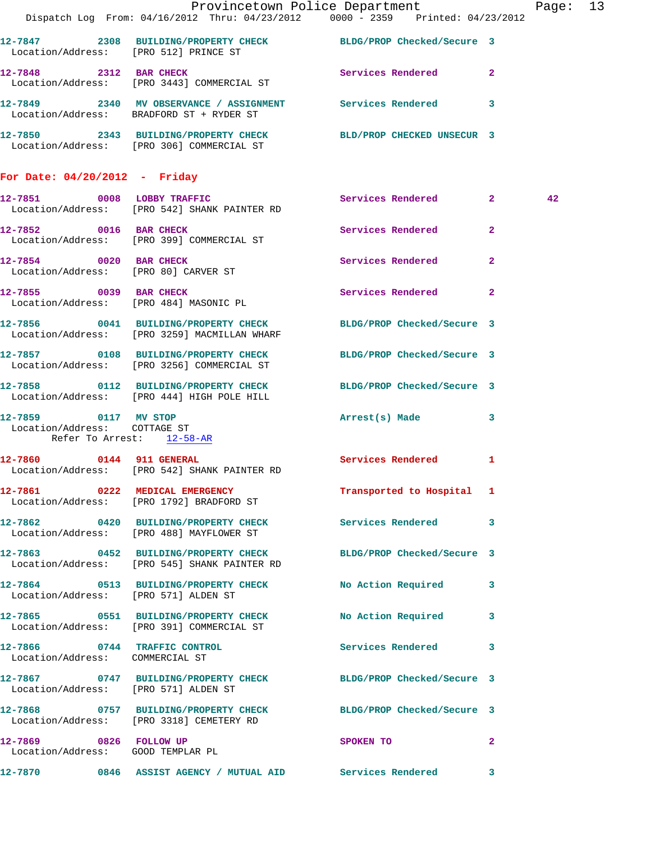|                                                           |                                                                                            | Provincetown Police Department Page: 13<br>Dispatch Log From: 04/16/2012 Thru: 04/23/2012 0000 - 2359 Printed: 04/23/2012 |    |
|-----------------------------------------------------------|--------------------------------------------------------------------------------------------|---------------------------------------------------------------------------------------------------------------------------|----|
| Location/Address: [PRO 512] PRINCE ST                     |                                                                                            | 12-7847 2308 BUILDING/PROPERTY CHECK BLDG/PROP Checked/Secure 3                                                           |    |
|                                                           | 12-7848 2312 BAR CHECK<br>Location/Address: [PRO 3443] COMMERCIAL ST                       | Services Rendered 2                                                                                                       |    |
|                                                           | Location/Address: BRADFORD ST + RYDER ST                                                   | 12-7849 2340 MV OBSERVANCE / ASSIGNMENT Services Rendered 3                                                               |    |
|                                                           | Location/Address: [PRO 306] COMMERCIAL ST                                                  | 12-7850 2343 BUILDING/PROPERTY CHECK BLD/PROP CHECKED UNSECUR 3                                                           |    |
| For Date: $04/20/2012$ - Friday                           |                                                                                            |                                                                                                                           |    |
|                                                           | Location/Address: [PRO 542] SHANK PAINTER RD                                               | 12-7851 0008 LOBBY TRAFFIC Services Rendered 2                                                                            | 42 |
|                                                           | 12-7852 0016 BAR CHECK<br>Location/Address: [PRO 399] COMMERCIAL ST                        | Services Rendered 2                                                                                                       |    |
| 12-7854 0020 BAR CHECK                                    | Location/Address: [PRO 80] CARVER ST                                                       | Services Rendered 2                                                                                                       |    |
|                                                           | 12-7855 0039 BAR CHECK<br>Location/Address: [PRO 484] MASONIC PL                           | Services Rendered 2                                                                                                       |    |
|                                                           | Location/Address: [PRO 3259] MACMILLAN WHARF                                               | 12-7856 0041 BUILDING/PROPERTY CHECK BLDG/PROP Checked/Secure 3                                                           |    |
|                                                           | Location/Address: [PRO 3256] COMMERCIAL ST                                                 | 12-7857 0108 BUILDING/PROPERTY CHECK BLDG/PROP Checked/Secure 3                                                           |    |
|                                                           | Location/Address: [PRO 444] HIGH POLE HILL                                                 | 12-7858 0112 BUILDING/PROPERTY CHECK BLDG/PROP Checked/Secure 3                                                           |    |
| Location/Address: COTTAGE ST<br>Refer To Arrest: 12-58-AR | 12-7859 0117 MV STOP                                                                       | Arrest(s) Made 3                                                                                                          |    |
|                                                           | 12-7860 0144 911 GENERAL Services Rendered<br>Location/Address: [PRO 542] SHANK PAINTER RD | 1                                                                                                                         |    |
|                                                           | 12-7861 0222 MEDICAL EMERGENCY<br>Location/Address: [PRO 1792] BRADFORD ST                 | Transported to Hospital 1                                                                                                 |    |
|                                                           | Location/Address: [PRO 488] MAYFLOWER ST                                                   | 12-7862 0420 BUILDING/PROPERTY CHECK Services Rendered 3                                                                  |    |
|                                                           | 12-7863 0452 BUILDING/PROPERTY CHECK<br>Location/Address: [PRO 545] SHANK PAINTER RD       | BLDG/PROP Checked/Secure 3                                                                                                |    |
|                                                           | Location/Address: [PRO 571] ALDEN ST                                                       | 12-7864 0513 BUILDING/PROPERTY CHECK No Action Required 3                                                                 |    |
|                                                           | 12-7865 0551 BUILDING/PROPERTY CHECK<br>Location/Address: [PRO 391] COMMERCIAL ST          | No Action Required 3                                                                                                      |    |
| Location/Address: COMMERCIAL ST                           | 12-7866 0744 TRAFFIC CONTROL                                                               | Services Rendered<br>3                                                                                                    |    |
| Location/Address: [PRO 571] ALDEN ST                      |                                                                                            | 12-7867 0747 BUILDING/PROPERTY CHECK BLDG/PROP Checked/Secure 3                                                           |    |
|                                                           | Location/Address: [PRO 3318] CEMETERY RD                                                   | 12-7868 0757 BUILDING/PROPERTY CHECK BLDG/PROP Checked/Secure 3                                                           |    |
| 12-7869 0826 FOLLOW UP                                    | Location/Address: GOOD TEMPLAR PL                                                          | $\mathbf{2}$<br>SPOKEN TO                                                                                                 |    |
|                                                           |                                                                                            | 12-7870 0846 ASSIST AGENCY / MUTUAL AID Services Rendered 3                                                               |    |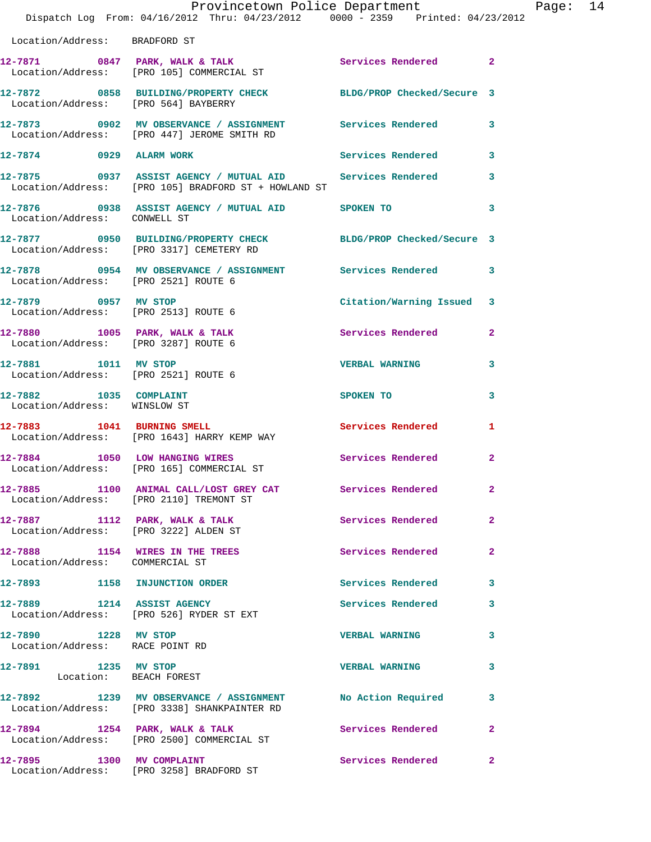|                                                                            | Provincetown Police Department<br>Dispatch Log From: 04/16/2012 Thru: 04/23/2012 0000 - 2359 Printed: 04/23/2012         |                          |                |
|----------------------------------------------------------------------------|--------------------------------------------------------------------------------------------------------------------------|--------------------------|----------------|
| Location/Address: BRADFORD ST                                              |                                                                                                                          |                          |                |
|                                                                            | 12-7871 0847 PARK, WALK & TALK 3 Services Rendered 2<br>Location/Address: [PRO 105] COMMERCIAL ST                        |                          |                |
|                                                                            | 12-7872 0858 BUILDING/PROPERTY CHECK BLDG/PROP Checked/Secure 3<br>Location/Address: [PRO 564] BAYBERRY                  |                          |                |
|                                                                            | 12-7873      0902   MV OBSERVANCE / ASSIGNMENT       Services Rendered<br>Location/Address:    [PRO 447] JEROME SMITH RD |                          | 3              |
| 12-7874 0929 ALARM WORK                                                    |                                                                                                                          | Services Rendered        | 3              |
|                                                                            | 12-7875 0937 ASSIST AGENCY / MUTUAL AID Services Rendered<br>Location/Address: [PRO 105] BRADFORD ST + HOWLAND ST        |                          | 3              |
|                                                                            |                                                                                                                          |                          | 3              |
|                                                                            | 12-7877 0950 BUILDING/PROPERTY CHECK BLDG/PROP Checked/Secure 3<br>Location/Address: [PRO 3317] CEMETERY RD              |                          |                |
|                                                                            | 12-7878      0954   MV OBSERVANCE / ASSIGNMENT       Services Rendered<br>Location/Address:   [PRO 2521] ROUTE 6         |                          | 3              |
| 12-7879 0957 MV STOP<br>Location/Address: [PRO 2513] ROUTE 6               |                                                                                                                          | Citation/Warning Issued  | 3              |
| $12 - 7880$ 1005 PARK, WALK & TALK<br>Location/Address: [PRO 3287] ROUTE 6 |                                                                                                                          | <b>Services Rendered</b> | $\overline{2}$ |
| 12-7881 1011 MV STOP<br>Location/Address: [PRO 2521] ROUTE 6               |                                                                                                                          | <b>VERBAL WARNING</b>    | 3              |
| 12-7882 1035 COMPLAINT<br>Location/Address: WINSLOW ST                     |                                                                                                                          | SPOKEN TO                | 3              |
|                                                                            | 12-7883 1041 BURNING SMELL<br>Location/Address: [PRO 1643] HARRY KEMP WAY                                                | Services Rendered        | 1              |
|                                                                            | 12-7884 1050 LOW HANGING WIRES<br>Location/Address: [PRO 165] COMMERCIAL ST                                              | Services Rendered        | $\overline{a}$ |
|                                                                            | 12-7885 1100 ANIMAL CALL/LOST GREY CAT Services Rendered<br>Location/Address: [PRO 2110] TREMONT ST                      |                          | $\overline{2}$ |
| Location/Address: [PRO 3222] ALDEN ST                                      | $12-7887$ 1112 PARK, WALK & TALK                                                                                         | Services Rendered        | $\overline{2}$ |
| Location/Address: COMMERCIAL ST                                            | 12-7888 1154 WIRES IN THE TREES                                                                                          | Services Rendered        | $\overline{2}$ |
| 12-7893 1158 INJUNCTION ORDER                                              |                                                                                                                          | Services Rendered        | 3              |
| 12-7889 1214 ASSIST AGENCY                                                 | Location/Address: [PRO 526] RYDER ST EXT                                                                                 | Services Rendered        | 3              |
| 12-7890 1228 MV STOP<br>Location/Address: RACE POINT RD                    |                                                                                                                          | <b>VERBAL WARNING</b>    | 3              |
| 12-7891 1235 MV STOP<br>Location: BEACH FOREST                             |                                                                                                                          | <b>VERBAL WARNING</b>    | 3              |
|                                                                            |                                                                                                                          |                          | 3              |
| 12-7894 1254 PARK, WALK & TALK                                             | Location/Address: [PRO 2500] COMMERCIAL ST                                                                               | Services Rendered        | $\mathbf{2}$   |
| 12-7895 1300 MV COMPLAINT                                                  | Location/Address: [PRO 3258] BRADFORD ST                                                                                 | Services Rendered        | $\mathbf{2}$   |

Page: 14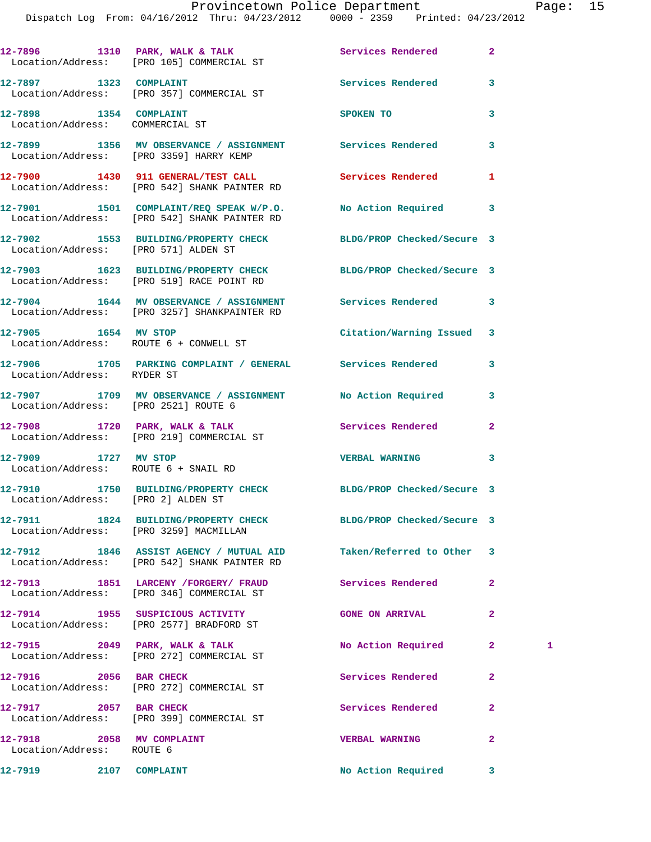|                                                           | 12-7896 1310 PARK, WALK & TALK Services Rendered<br>Location/Address: [PRO 105] COMMERCIAL ST                |                           | $\overline{a}$ |   |
|-----------------------------------------------------------|--------------------------------------------------------------------------------------------------------------|---------------------------|----------------|---|
| 12-7897 1323 COMPLAINT                                    | Location/Address: [PRO 357] COMMERCIAL ST                                                                    | Services Rendered         | 3              |   |
| 12-7898 1354 COMPLAINT<br>Location/Address: COMMERCIAL ST |                                                                                                              | SPOKEN TO                 | 3              |   |
|                                                           | 12-7899 1356 MV OBSERVANCE / ASSIGNMENT Services Rendered<br>Location/Address: [PRO 3359] HARRY KEMP         |                           | 3              |   |
|                                                           | 12-7900 1430 911 GENERAL/TEST CALL 5ervices Rendered<br>Location/Address: [PRO 542] SHANK PAINTER RD         |                           | 1              |   |
|                                                           | 12-7901 1501 COMPLAINT/REQ SPEAK W/P.O. No Action Required<br>Location/Address: [PRO 542] SHANK PAINTER RD   |                           | 3              |   |
| Location/Address: [PRO 571] ALDEN ST                      | 12-7902 1553 BUILDING/PROPERTY CHECK BLDG/PROP Checked/Secure 3                                              |                           |                |   |
|                                                           | 12-7903 1623 BUILDING/PROPERTY CHECK BLDG/PROP Checked/Secure 3<br>Location/Address: [PRO 519] RACE POINT RD |                           |                |   |
|                                                           | 12-7904 1644 MV OBSERVANCE / ASSIGNMENT Services Rendered<br>Location/Address: [PRO 3257] SHANKPAINTER RD    |                           | 3              |   |
| 12-7905 1654 MV STOP                                      | Location/Address: ROUTE 6 + CONWELL ST                                                                       | Citation/Warning Issued 3 |                |   |
| Location/Address: RYDER ST                                | 12-7906 1705 PARKING COMPLAINT / GENERAL Services Rendered                                                   |                           | 3              |   |
| Location/Address: [PRO 2521] ROUTE 6                      | 12-7907 1709 MV OBSERVANCE / ASSIGNMENT No Action Required                                                   |                           | 3              |   |
|                                                           | 12-7908 1720 PARK, WALK & TALK<br>Location/Address: [PRO 219] COMMERCIAL ST                                  | Services Rendered         | $\mathbf{2}$   |   |
| 12-7909 1727 MV STOP                                      | Location/Address: ROUTE 6 + SNAIL RD                                                                         | <b>VERBAL WARNING</b>     | 3              |   |
| Location/Address: [PRO 2] ALDEN ST                        | 12-7910 1750 BUILDING/PROPERTY CHECK BLDG/PROP Checked/Secure 3                                              |                           |                |   |
| Location/Address: [PRO 3259] MACMILLAN                    | 12-7911 1824 BUILDING/PROPERTY CHECK BLDG/PROP Checked/Secure 3                                              |                           |                |   |
|                                                           | 12-7912 1846 ASSIST AGENCY / MUTUAL AID<br>Location/Address: [PRO 542] SHANK PAINTER RD                      | Taken/Referred to Other   | -3             |   |
|                                                           | 12-7913 1851 LARCENY / FORGERY / FRAUD<br>Location/Address: [PRO 346] COMMERCIAL ST                          | Services Rendered         | $\mathbf{2}$   |   |
|                                                           | 12-7914 1955 SUSPICIOUS ACTIVITY<br>Location/Address: [PRO 2577] BRADFORD ST                                 | <b>GONE ON ARRIVAL</b>    | 2              |   |
|                                                           | $12-7915$ 2049 PARK, WALK & TALK<br>Location/Address: [PRO 272] COMMERCIAL ST                                | No Action Required        | $\mathbf{2}$   | 1 |
| 12-7916 2056 BAR CHECK                                    | Location/Address: [PRO 272] COMMERCIAL ST                                                                    | Services Rendered         | $\overline{a}$ |   |
| 12-7917 2057 BAR CHECK                                    | Location/Address: [PRO 399] COMMERCIAL ST                                                                    | Services Rendered         | $\mathbf{2}$   |   |
| 12-7918 2058 MV COMPLAINT                                 |                                                                                                              | <b>VERBAL WARNING</b>     | $\mathbf{2}$   |   |
| Location/Address: ROUTE 6<br>12-7919 2107 COMPLAINT       |                                                                                                              | <b>No Action Required</b> | 3              |   |
|                                                           |                                                                                                              |                           |                |   |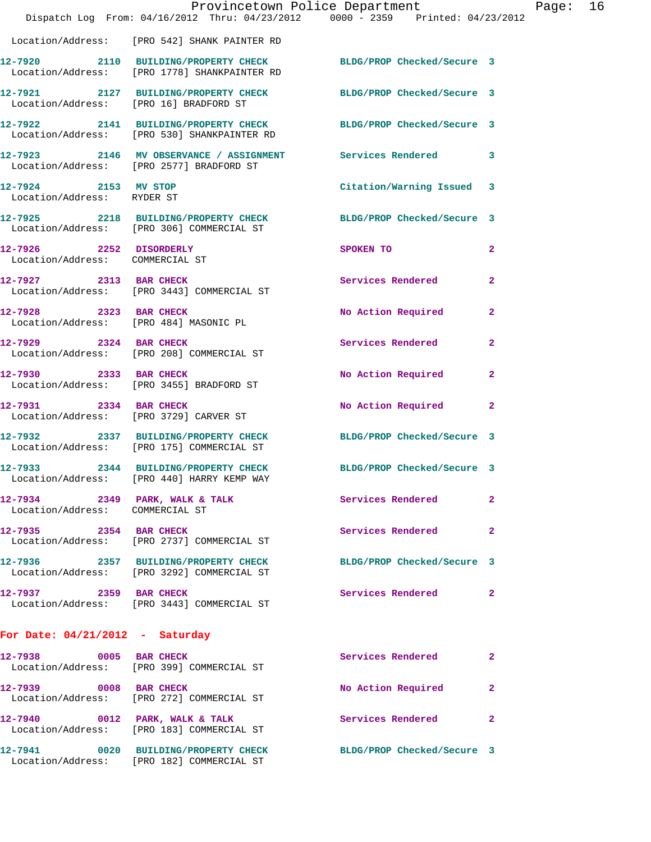|                                                            |                                                                                                                 | Provincetown Police Department |              | Page: | 16 |
|------------------------------------------------------------|-----------------------------------------------------------------------------------------------------------------|--------------------------------|--------------|-------|----|
|                                                            | Dispatch Log From: 04/16/2012 Thru: 04/23/2012 0000 - 2359 Printed: 04/23/2012                                  |                                |              |       |    |
|                                                            | Location/Address: [PRO 542] SHANK PAINTER RD                                                                    |                                |              |       |    |
|                                                            | 12-7920 2110 BUILDING/PROPERTY CHECK BLDG/PROP Checked/Secure 3<br>Location/Address: [PRO 1778] SHANKPAINTER RD |                                |              |       |    |
| Location/Address: [PRO 16] BRADFORD ST                     | 12-7921 2127 BUILDING/PROPERTY CHECK BLDG/PROP Checked/Secure 3                                                 |                                |              |       |    |
|                                                            | 12-7922 2141 BUILDING/PROPERTY CHECK BLDG/PROP Checked/Secure 3<br>Location/Address: [PRO 530] SHANKPAINTER RD  |                                |              |       |    |
|                                                            | 12-7923 2146 MV OBSERVANCE / ASSIGNMENT Services Rendered 3<br>Location/Address: [PRO 2577] BRADFORD ST         |                                |              |       |    |
| 12-7924 2153 MV STOP<br>Location/Address: RYDER ST         |                                                                                                                 | Citation/Warning Issued 3      |              |       |    |
|                                                            | 12-7925 2218 BUILDING/PROPERTY CHECK BLDG/PROP Checked/Secure 3<br>Location/Address: [PRO 306] COMMERCIAL ST    |                                |              |       |    |
| 12-7926 2252 DISORDERLY<br>Location/Address: COMMERCIAL ST |                                                                                                                 | SPOKEN TO                      | $\mathbf{2}$ |       |    |
|                                                            | 12-7927 2313 BAR CHECK<br>Location/Address: [PRO 3443] COMMERCIAL ST                                            | Services Rendered              | $\mathbf{2}$ |       |    |
| 12-7928 2323 BAR CHECK                                     | Location/Address: [PRO 484] MASONIC PL                                                                          | No Action Required             | $\mathbf{2}$ |       |    |
|                                                            | 12-7929 2324 BAR CHECK<br>Location/Address: [PRO 208] COMMERCIAL ST                                             | Services Rendered              | $\mathbf{2}$ |       |    |
| 12-7930 2333 BAR CHECK                                     | Location/Address: [PRO 3455] BRADFORD ST                                                                        | No Action Required             | $\mathbf{2}$ |       |    |
| 12-7931 2334 BAR CHECK                                     | Location/Address: [PRO 3729] CARVER ST                                                                          | No Action Required 2           |              |       |    |
|                                                            | 12-7932 2337 BUILDING/PROPERTY CHECK BLDG/PROP Checked/Secure 3<br>Location/Address: [PRO 175] COMMERCIAL ST    |                                |              |       |    |
| 12-7933                                                    | 2344 BUILDING/PROPERTY CHECK<br>Location/Address: [PRO 440] HARRY KEMP WAY                                      | BLDG/PROP Checked/Secure 3     |              |       |    |
| Location/Address: COMMERCIAL ST                            | 12-7934 2349 PARK, WALK & TALK                                                                                  | <b>Services Rendered</b>       | 2            |       |    |
| 12-7935 2354 BAR CHECK                                     | Location/Address: [PRO 2737] COMMERCIAL ST                                                                      | Services Rendered              | $\mathbf{2}$ |       |    |
|                                                            | 12-7936 2357 BUILDING/PROPERTY CHECK<br>Location/Address: [PRO 3292] COMMERCIAL ST                              | BLDG/PROP Checked/Secure 3     |              |       |    |
| 12-7937 2359 BAR CHECK                                     | Location/Address: [PRO 3443] COMMERCIAL ST                                                                      | Services Rendered              | 2            |       |    |
| For Date: $04/21/2012$ - Saturday                          |                                                                                                                 |                                |              |       |    |
|                                                            | 12-7938 0005 BAR CHECK<br>Location/Address: [PRO 399] COMMERCIAL ST                                             | Services Rendered              | 2            |       |    |
| 12-7939 0008 BAR CHECK                                     | Location/Address: [PRO 272] COMMERCIAL ST                                                                       | No Action Required             | 2            |       |    |
|                                                            | 12-7940 0012 PARK, WALK & TALK<br>Location/Address: [PRO 183] COMMERCIAL ST                                     | Services Rendered              | $\mathbf{2}$ |       |    |

Location/Address: [PRO 182] COMMERCIAL ST

**12-7941 0020 BUILDING/PROPERTY CHECK BLDG/PROP Checked/Secure 3**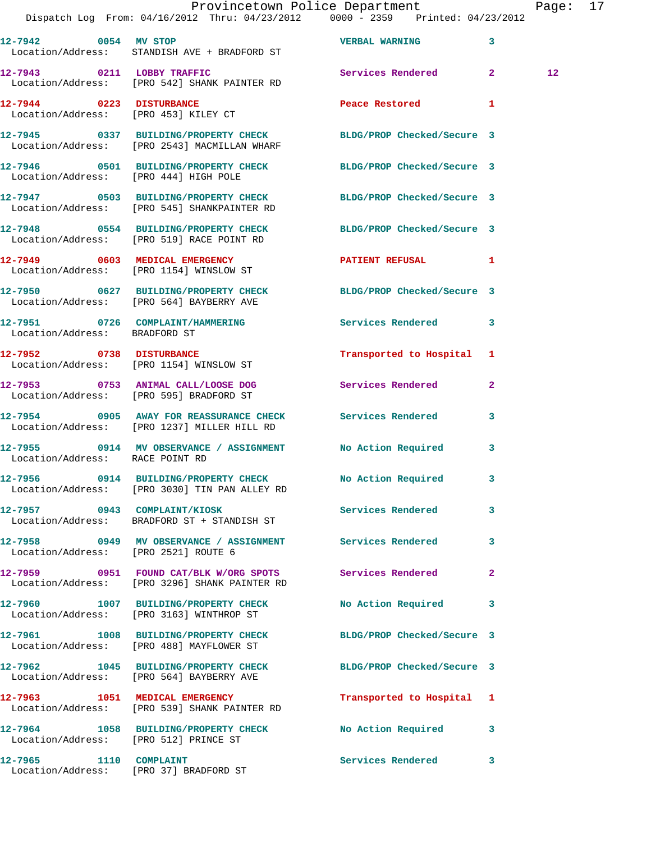|                                       | Provincetown Police Department Fage: 17<br>Dispatch Log From: 04/16/2012 Thru: 04/23/2012 0000 - 2359 Printed: 04/23/2012 |                                       |              |    |  |
|---------------------------------------|---------------------------------------------------------------------------------------------------------------------------|---------------------------------------|--------------|----|--|
|                                       | 12-7942 0054 MV STOP CONTROL TO VERBAL WARNING<br>Location/Address: STANDISH AVE + BRADFORD ST                            |                                       | 3            |    |  |
|                                       | 12-7943 0211 LOBBY TRAFFIC<br>Location/Address: [PRO 542] SHANK PAINTER RD                                                | Services Rendered 2                   |              | 12 |  |
|                                       |                                                                                                                           | Peace Restored and the Peace Restored | $\mathbf{1}$ |    |  |
|                                       | 12-7945 0337 BUILDING/PROPERTY CHECK BLDG/PROP Checked/Secure 3<br>Location/Address: [PRO 2543] MACMILLAN WHARF           |                                       |              |    |  |
| Location/Address: [PRO 444] HIGH POLE | 12-7946 0501 BUILDING/PROPERTY CHECK BLDG/PROP Checked/Secure 3                                                           |                                       |              |    |  |
|                                       | 12-7947 0503 BUILDING/PROPERTY CHECK BLDG/PROP Checked/Secure 3<br>Location/Address: [PRO 545] SHANKPAINTER RD            |                                       |              |    |  |
|                                       | 12-7948 0554 BUILDING/PROPERTY CHECK<br>Location/Address: [PRO 519] RACE POINT RD                                         | BLDG/PROP Checked/Secure 3            |              |    |  |
|                                       | 12-7949 0603 MEDICAL EMERGENCY<br>Location/Address: [PRO 1154] WINSLOW ST                                                 | PATIENT REFUSAL                       | 1            |    |  |
|                                       | 12-7950 0627 BUILDING/PROPERTY CHECK BLDG/PROP Checked/Secure 3<br>Location/Address: [PRO 564] BAYBERRY AVE               |                                       |              |    |  |
| Location/Address: BRADFORD ST         | 12-7951 0726 COMPLAINT/HAMMERING Services Rendered                                                                        |                                       | 3            |    |  |
|                                       | 12-7952 0738 DISTURBANCE<br>Location/Address: [PRO 1154] WINSLOW ST                                                       | Transported to Hospital 1             |              |    |  |
|                                       | 12-7953 0753 ANIMAL CALL/LOOSE DOG Services Rendered<br>Location/Address: [PRO 595] BRADFORD ST                           |                                       | 2            |    |  |
|                                       | 12-7954 0905 AWAY FOR REASSURANCE CHECK Services Rendered<br>Location/Address: [PRO 1237] MILLER HILL RD                  |                                       | 3            |    |  |
| Location/Address: RACE POINT RD       | 12-7955 0914 MV OBSERVANCE / ASSIGNMENT No Action Required 3                                                              |                                       |              |    |  |
|                                       | 12-7956 0914 BUILDING/PROPERTY CHECK<br>Location/Address: [PRO 3030] TIN PAN ALLEY RD                                     | <b>No Action Required</b>             |              |    |  |
|                                       | 12-7957 0943 COMPLAINT/KIOSK<br>Location/Address: BRADFORD ST + STANDISH ST                                               | Services Rendered                     | 3            |    |  |
| Location/Address: [PRO 2521] ROUTE 6  | 12-7958 0949 MV OBSERVANCE / ASSIGNMENT Services Rendered                                                                 |                                       | 3            |    |  |
|                                       | 12-7959 0951 FOUND CAT/BLK W/ORG SPOTS Services Rendered<br>Location/Address: [PRO 3296] SHANK PAINTER RD                 |                                       | $\mathbf{2}$ |    |  |
|                                       | 12-7960 1007 BUILDING/PROPERTY CHECK<br>Location/Address: [PRO 3163] WINTHROP ST                                          | No Action Required                    | 3            |    |  |
|                                       | 12-7961 1008 BUILDING/PROPERTY CHECK<br>Location/Address: [PRO 488] MAYFLOWER ST                                          | BLDG/PROP Checked/Secure 3            |              |    |  |
|                                       | 12-7962 1045 BUILDING/PROPERTY CHECK BLDG/PROP Checked/Secure 3<br>Location/Address: [PRO 564] BAYBERRY AVE               |                                       |              |    |  |
|                                       | 12-7963 1051 MEDICAL EMERGENCY<br>Location/Address: [PRO 539] SHANK PAINTER RD                                            | Transported to Hospital 1             |              |    |  |
| Location/Address: [PRO 512] PRINCE ST | 12-7964 1058 BUILDING/PROPERTY CHECK No Action Required                                                                   |                                       | 3            |    |  |
| 12-7965 1110 COMPLAINT                |                                                                                                                           | Services Rendered                     | 3            |    |  |

Location/Address: [PRO 37] BRADFORD ST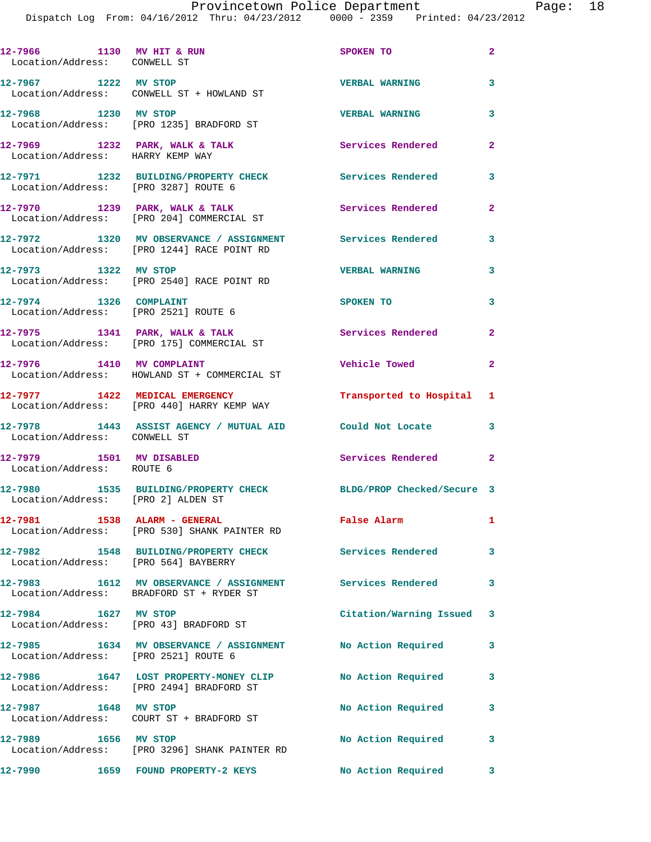**12-7966 1130 MV HIT & RUN SPOKEN TO 2**  Location/Address: CONWELL ST **12-7967 1222 MV STOP VERBAL WARNING 3**  Location/Address: CONWELL ST + HOWLAND ST **12-7968 1230 MV STOP VERBAL WARNING 3**  Location/Address: [PRO 1235] BRADFORD ST **12-7969 1232 PARK, WALK & TALK Services Rendered 2**  Location/Address: HARRY KEMP WAY **12-7971 1232 BUILDING/PROPERTY CHECK Services Rendered 3**  Location/Address: [PRO 3287] ROUTE 6 12-7970 1239 PARK, WALK & TALK Services Rendered 2 Location/Address: [PRO 204] COMMERCIAL ST **12-7972 1320 MV OBSERVANCE / ASSIGNMENT Services Rendered 3**  Location/Address: [PRO 1244] RACE POINT RD **12-7973 1322 MV STOP VERBAL WARNING 3**  Location/Address: [PRO 2540] RACE POINT RD **12-7974 1326 COMPLAINT SPOKEN TO 3**  Location/Address: [PRO 2521] ROUTE 6 12-7975 1341 PARK, WALK & TALK **Services Rendered** 2 Location/Address: [PRO 175] COMMERCIAL ST **12-7976 1410 MV COMPLAINT Vehicle Towed 2**  Location/Address: HOWLAND ST + COMMERCIAL ST **12-7977 1422 MEDICAL EMERGENCY Transported to Hospital 1**  Location/Address: [PRO 440] HARRY KEMP WAY **12-7978 1443 ASSIST AGENCY / MUTUAL AID Could Not Locate 3**  Location/Address: CONWELL ST **12-7979 1501 MV DISABLED Services Rendered 2**  Location/Address: ROUTE 6 **12-7980 1535 BUILDING/PROPERTY CHECK BLDG/PROP Checked/Secure 3**  Location/Address: [PRO 2] ALDEN ST **12-7981 1538 ALARM - GENERAL False Alarm 1**  Location/Address: [PRO 530] SHANK PAINTER RD **12-7982 1548 BUILDING/PROPERTY CHECK Services Rendered 3**  Location/Address: [PRO 564] BAYBERRY **12-7983 1612 MV OBSERVANCE / ASSIGNMENT Services Rendered 3**  Location/Address: BRADFORD ST + RYDER ST **12-7984 1627 MV STOP Citation/Warning Issued 3**  Location/Address: [PRO 43] BRADFORD ST **12-7985 1634 MV OBSERVANCE / ASSIGNMENT No Action Required 3**  Location/Address: [PRO 2521] ROUTE 6 **12-7986 1647 LOST PROPERTY-MONEY CLIP No Action Required 3**  Location/Address: [PRO 2494] BRADFORD ST 12-7987 1648 MV STOP **No Action Required** 3 Location/Address: COURT ST + BRADFORD ST 12-7989 1656 MV STOP **12-7989** No Action Required 3 Location/Address: [PRO 3296] SHANK PAINTER RD **12-7990 1659 FOUND PROPERTY-2 KEYS No Action Required 3**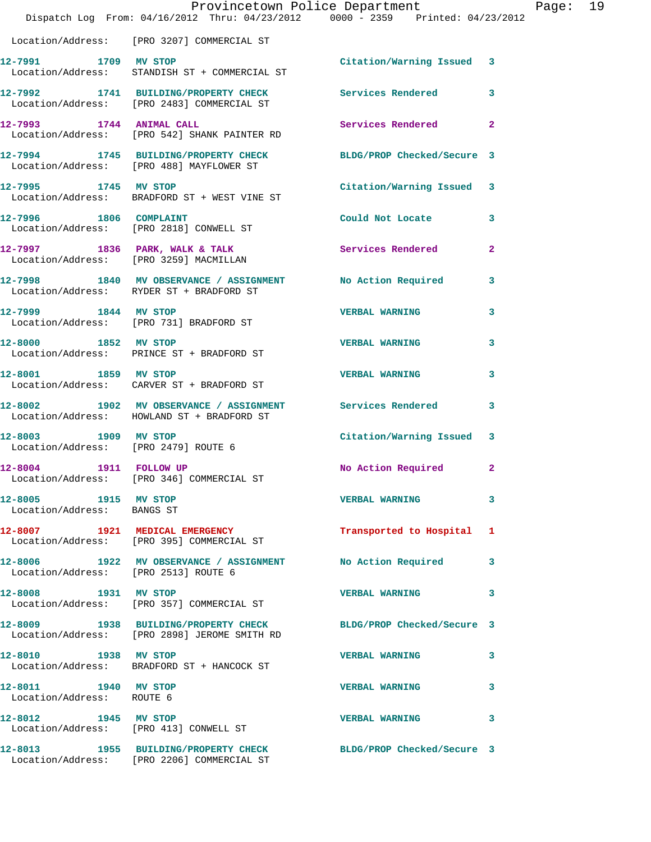|                                                    | Dispatch Log From: 04/16/2012 Thru: 04/23/2012 0000 - 2359 Printed: 04/23/2012                                  | Provincetown Police Department Page: 19 |                |  |
|----------------------------------------------------|-----------------------------------------------------------------------------------------------------------------|-----------------------------------------|----------------|--|
|                                                    | Location/Address: [PRO 3207] COMMERCIAL ST                                                                      |                                         |                |  |
| 12-7991 1709 MV STOP                               | Location/Address: STANDISH ST + COMMERCIAL ST                                                                   | Citation/Warning Issued 3               |                |  |
|                                                    | 12-7992 1741 BUILDING/PROPERTY CHECK<br>Location/Address: [PRO 2483] COMMERCIAL ST                              | <b>Services Rendered</b>                | 3              |  |
| 12-7993 1744 ANIMAL CALL                           | Location/Address: [PRO 542] SHANK PAINTER RD                                                                    | Services Rendered                       | $\overline{2}$ |  |
|                                                    | 12-7994 1745 BUILDING/PROPERTY CHECK BLDG/PROP Checked/Secure 3<br>Location/Address: [PRO 488] MAYFLOWER ST     |                                         |                |  |
| 12-7995 1745 MV STOP                               | Location/Address: BRADFORD ST + WEST VINE ST                                                                    | Citation/Warning Issued 3               |                |  |
|                                                    | 12-7996 1806 COMPLAINT<br>Location/Address: [PRO 2818] CONWELL ST                                               | Could Not Locate                        | 3              |  |
|                                                    | 12-7997 1836 PARK, WALK & TALK<br>Location/Address: [PRO 3259] MACMILLAN                                        | <b>Services Rendered</b>                | $\mathbf{2}$   |  |
|                                                    | 12-7998 1840 MV OBSERVANCE / ASSIGNMENT No Action Required 3<br>Location/Address: RYDER ST + BRADFORD ST        |                                         |                |  |
| 12-7999 1844 MV STOP                               | Location/Address: [PRO 731] BRADFORD ST                                                                         | <b>VERBAL WARNING</b>                   | 3              |  |
|                                                    | 12-8000 1852 MV STOP<br>Location/Address: PRINCE ST + BRADFORD ST                                               | <b>VERBAL WARNING</b>                   | 3              |  |
| 12-8001 1859 MV STOP                               | Location/Address: CARVER ST + BRADFORD ST                                                                       | <b>VERBAL WARNING</b>                   | 3              |  |
|                                                    | 12-8002 1902 MV OBSERVANCE / ASSIGNMENT Services Rendered<br>Location/Address: HOWLAND ST + BRADFORD ST         |                                         | 3              |  |
| Location/Address: [PRO 2479] ROUTE 6               | 12-8003 1909 MV STOP                                                                                            | Citation/Warning Issued 3               |                |  |
| 1911 FOLLOW UP<br>12-8004                          | Location/Address: [PRO 346] COMMERCIAL ST                                                                       | No Action Required                      | $\mathbf{2}$   |  |
| 12-8005 1915 MV STOP<br>Location/Address: BANGS ST |                                                                                                                 | <b>VERBAL WARNING</b>                   | 3              |  |
|                                                    | 12-8007 1921 MEDICAL EMERGENCY<br>Location/Address: [PRO 395] COMMERCIAL ST                                     | Transported to Hospital 1               |                |  |
| Location/Address: [PRO 2513] ROUTE 6               | 12-8006 1922 MV OBSERVANCE / ASSIGNMENT No Action Required                                                      |                                         | 3              |  |
| 12-8008 1931 MV STOP                               | Location/Address: [PRO 357] COMMERCIAL ST                                                                       | <b>VERBAL WARNING</b>                   | 3              |  |
|                                                    | 12-8009 1938 BUILDING/PROPERTY CHECK BLDG/PROP Checked/Secure 3<br>Location/Address: [PRO 2898] JEROME SMITH RD |                                         |                |  |
| 12-8010 1938 MV STOP                               | Location/Address: BRADFORD ST + HANCOCK ST                                                                      | <b>VERBAL WARNING</b>                   | 3              |  |
| 12-8011 1940 MV STOP<br>Location/Address: ROUTE 6  |                                                                                                                 | <b>VERBAL WARNING</b>                   | 3              |  |
| 12-8012 1945 MV STOP                               | Location/Address: [PRO 413] CONWELL ST                                                                          | <b>VERBAL WARNING</b>                   | 3              |  |
|                                                    | 12-8013 1955 BUILDING/PROPERTY CHECK BLDG/PROP Checked/Secure 3<br>Location/Address: [PRO 2206] COMMERCIAL ST   |                                         |                |  |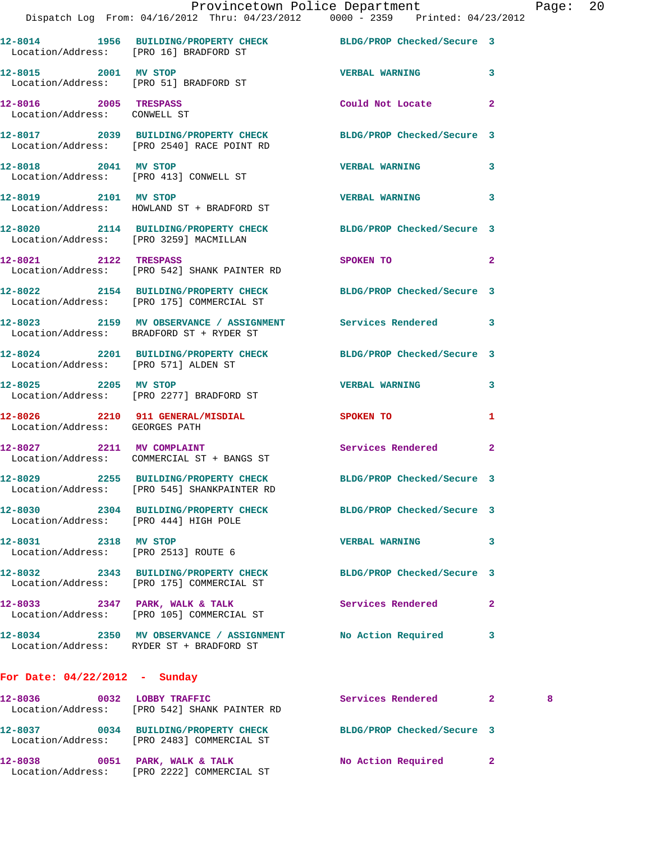|                                                       | Provincetown Police Department The Rage: 20<br>Dispatch Log From: 04/16/2012 Thru: 04/23/2012 0000 - 2359 Printed: 04/23/2012 |                                                                                                                 |                            |   |  |
|-------------------------------------------------------|-------------------------------------------------------------------------------------------------------------------------------|-----------------------------------------------------------------------------------------------------------------|----------------------------|---|--|
|                                                       | 12-8014 1956 BUILDING/PROPERTY CHECK BLDG/PROP Checked/Secure 3<br>Location/Address: [PRO 16] BRADFORD ST                     |                                                                                                                 |                            |   |  |
|                                                       | 12-8015 2001 MV STOP<br>Location/Address: [PRO 51] BRADFORD ST                                                                | <b>VERBAL WARNING 3</b>                                                                                         |                            |   |  |
| 12-8016 2005 TRESPASS<br>Location/Address: CONWELL ST |                                                                                                                               | Could Not Locate 2                                                                                              |                            |   |  |
|                                                       | 12-8017 2039 BUILDING/PROPERTY CHECK BLDG/PROP Checked/Secure 3<br>Location/Address: [PRO 2540] RACE POINT RD                 |                                                                                                                 |                            |   |  |
|                                                       | 12-8018 2041 MV STOP<br>Location/Address: [PRO 413] CONWELL ST                                                                | VERBAL WARNING 3                                                                                                |                            |   |  |
|                                                       | 12-8019 2101 MV STOP<br>Location/Address: HOWLAND ST + BRADFORD ST                                                            | VERBAL WARNING 3                                                                                                |                            |   |  |
|                                                       | 12-8020 2114 BUILDING/PROPERTY CHECK BLDG/PROP Checked/Secure 3<br>Location/Address: [PRO 3259] MACMILLAN                     |                                                                                                                 |                            |   |  |
|                                                       | 12-8021 2122 TRESPASS<br>Location/Address: [PRO 542] SHANK PAINTER RD                                                         | SPOKEN TO THE STRIKE SPOKEN OF THE STRIKE SPOKEN OF THE STRIKE STRIKE STRIKE STRIKE STRIKE STRIKE STRIKE STRIKE | $\overline{\phantom{0}}$ 2 |   |  |
|                                                       | 12-8022 2154 BUILDING/PROPERTY CHECK BLDG/PROP Checked/Secure 3<br>Location/Address: [PRO 175] COMMERCIAL ST                  |                                                                                                                 |                            |   |  |
|                                                       | 12-8023 2159 MV OBSERVANCE / ASSIGNMENT Services Rendered 3<br>Location/Address: BRADFORD ST + RYDER ST                       |                                                                                                                 |                            |   |  |
| Location/Address: [PRO 571] ALDEN ST                  | 12-8024 2201 BUILDING/PROPERTY CHECK BLDG/PROP Checked/Secure 3                                                               |                                                                                                                 |                            |   |  |
|                                                       | 12-8025 2205 MV STOP<br>Location/Address: [PRO 2277] BRADFORD ST                                                              | <b>VERBAL WARNING</b>                                                                                           | 3                          |   |  |
| Location/Address: GEORGES PATH                        | 12-8026 2210 911 GENERAL/MISDIAL SPOKEN TO                                                                                    |                                                                                                                 | 1                          |   |  |
|                                                       | 12-8027 2211 MV COMPLAINT<br>Location/Address: COMMERCIAL ST + BANGS ST                                                       | Services Rendered 2                                                                                             |                            |   |  |
|                                                       | 12-8029 2255 BUILDING/PROPERTY CHECK<br>Location/Address: [PRO 545] SHANKPAINTER RD                                           | BLDG/PROP Checked/Secure 3                                                                                      |                            |   |  |
| Location/Address: [PRO 444] HIGH POLE                 | 12-8030 2304 BUILDING/PROPERTY CHECK BLDG/PROP Checked/Secure 3                                                               |                                                                                                                 |                            |   |  |
| 12-8031 2318 MV STOP                                  | Location/Address: [PRO 2513] ROUTE 6                                                                                          | VERBAL WARNING 3                                                                                                |                            |   |  |
|                                                       | 12-8032 2343 BUILDING/PROPERTY CHECK BLDG/PROP Checked/Secure 3<br>Location/Address: [PRO 175] COMMERCIAL ST                  |                                                                                                                 |                            |   |  |
|                                                       | 12-8033 2347 PARK, WALK & TALK<br>Location/Address: [PRO 105] COMMERCIAL ST                                                   | Services Rendered 2                                                                                             |                            |   |  |
|                                                       | 12-8034 2350 MV OBSERVANCE / ASSIGNMENT No Action Required 3<br>Location/Address: RYDER ST + BRADFORD ST                      |                                                                                                                 |                            |   |  |
| For Date: $04/22/2012$ - Sunday                       |                                                                                                                               |                                                                                                                 |                            |   |  |
|                                                       | 12-8036 0032 LOBBY TRAFFIC<br>Location/Address: [PRO 542] SHANK PAINTER RD                                                    | Services Rendered 2                                                                                             |                            | 8 |  |
|                                                       | 12-8037 0034 BUILDING/PROPERTY CHECK BLDG/PROP Checked/Secure 3<br>Location/Address: [PRO 2483] COMMERCIAL ST                 |                                                                                                                 |                            |   |  |

**12-8038 0051 PARK, WALK & TALK No Action Required 2** 

Location/Address: [PRO 2222] COMMERCIAL ST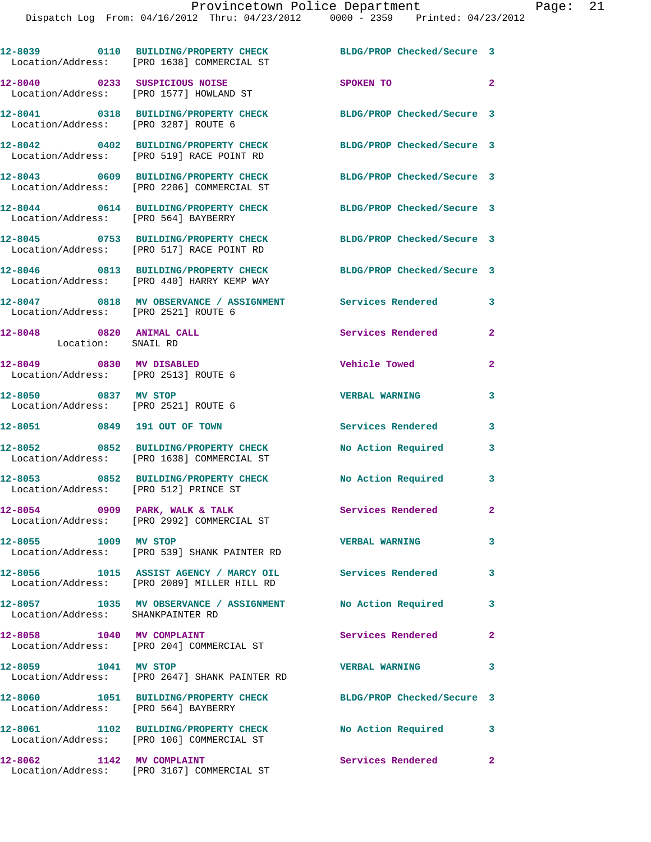|                                                                  | 12-8039 0110 BUILDING/PROPERTY CHECK<br>Location/Address: [PRO 1638] COMMERCIAL ST    | BLDG/PROP Checked/Secure 3 |              |
|------------------------------------------------------------------|---------------------------------------------------------------------------------------|----------------------------|--------------|
| 12-8040 0233 SUSPICIOUS NOISE                                    | Location/Address: [PRO 1577] HOWLAND ST                                               | SPOKEN TO                  | $\mathbf{2}$ |
| Location/Address: [PRO 3287] ROUTE 6                             | 12-8041 0318 BUILDING/PROPERTY CHECK                                                  | BLDG/PROP Checked/Secure 3 |              |
|                                                                  | 12-8042 0402 BUILDING/PROPERTY CHECK<br>Location/Address: [PRO 519] RACE POINT RD     | BLDG/PROP Checked/Secure 3 |              |
|                                                                  | 12-8043 0609 BUILDING/PROPERTY CHECK<br>Location/Address: [PRO 2206] COMMERCIAL ST    | BLDG/PROP Checked/Secure 3 |              |
| Location/Address: [PRO 564] BAYBERRY                             | 12-8044 0614 BUILDING/PROPERTY CHECK                                                  | BLDG/PROP Checked/Secure 3 |              |
|                                                                  | 12-8045 0753 BUILDING/PROPERTY CHECK<br>Location/Address: [PRO 517] RACE POINT RD     | BLDG/PROP Checked/Secure 3 |              |
|                                                                  | 12-8046 0813 BUILDING/PROPERTY CHECK<br>Location/Address: [PRO 440] HARRY KEMP WAY    | BLDG/PROP Checked/Secure 3 |              |
|                                                                  |                                                                                       |                            | 3            |
| 12-8048 0820 ANIMAL CALL<br>Location: SNAIL RD                   |                                                                                       | Services Rendered          | 2            |
| 12-8049 0830 MV DISABLED<br>Location/Address: [PRO 2513] ROUTE 6 |                                                                                       | Vehicle Towed              | 2            |
| 12-8050 0837 MV STOP<br>Location/Address: [PRO 2521] ROUTE 6     |                                                                                       | <b>VERBAL WARNING</b>      | 3            |
| 12-8051 0849 191 OUT OF TOWN                                     |                                                                                       | <b>Services Rendered</b>   | 3            |
|                                                                  | 12-8052 0852 BUILDING/PROPERTY CHECK<br>Location/Address: [PRO 1638] COMMERCIAL ST    | No Action Required         | 3            |
| Location/Address: [PRO 512] PRINCE ST                            | 12-8053 0852 BUILDING/PROPERTY CHECK                                                  | No Action Required 3       |              |
| 12-8054 0909 PARK, WALK & TALK                                   | Location/Address: [PRO 2992] COMMERCIAL ST                                            | Services Rendered          |              |
| 12-8055 1009 MV STOP                                             | Location/Address: [PRO 539] SHANK PAINTER RD                                          | <b>VERBAL WARNING</b>      | 3            |
|                                                                  | 12-8056 1015 ASSIST AGENCY / MARCY OIL<br>Location/Address: [PRO 2089] MILLER HILL RD | <b>Services Rendered</b>   | 3            |
| Location/Address: SHANKPAINTER RD                                | 12-8057 1035 MV OBSERVANCE / ASSIGNMENT                                               | <b>No Action Required</b>  | 3            |
| 12-8058 1040 MV COMPLAINT                                        | Location/Address: [PRO 204] COMMERCIAL ST                                             | Services Rendered          | $\mathbf{2}$ |
| 12-8059 1041 MV STOP                                             | Location/Address: [PRO 2647] SHANK PAINTER RD                                         | <b>VERBAL WARNING</b>      | 3            |
| Location/Address: [PRO 564] BAYBERRY                             | 12-8060 1051 BUILDING/PROPERTY CHECK                                                  | BLDG/PROP Checked/Secure 3 |              |
|                                                                  | 12-8061 1102 BUILDING/PROPERTY CHECK<br>Location/Address: [PRO 106] COMMERCIAL ST     | No Action Required         | 3            |
| 12-8062 1142 MV COMPLAINT                                        | Location/Address: [PRO 3167] COMMERCIAL ST                                            | Services Rendered          | $\mathbf{2}$ |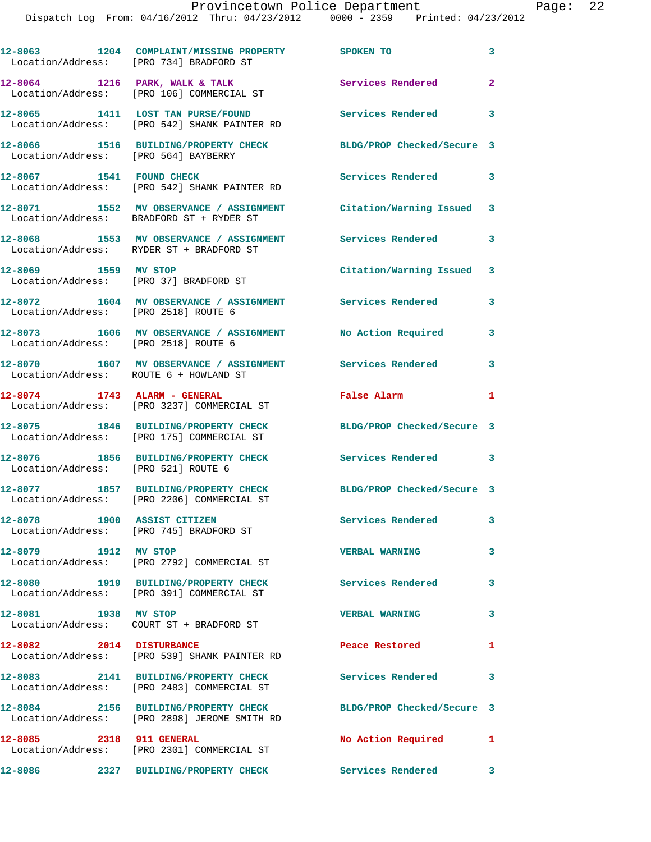|                                        | 12-8063 1204 COMPLAINT/MISSING PROPERTY SPOKEN TO<br>Location/Address: [PRO 734] BRADFORD ST          |                            | 3            |
|----------------------------------------|-------------------------------------------------------------------------------------------------------|----------------------------|--------------|
|                                        | $12-8064$ 1216 PARK, WALK & TALK<br>Location/Address: [PRO 106] COMMERCIAL ST                         | Services Rendered          | $\mathbf{2}$ |
|                                        | 12-8065 1411 LOST TAN PURSE/FOUND<br>Location/Address: [PRO 542] SHANK PAINTER RD                     | <b>Services Rendered</b>   | 3            |
| Location/Address: [PRO 564] BAYBERRY   | 12-8066 1516 BUILDING/PROPERTY CHECK                                                                  | BLDG/PROP Checked/Secure 3 |              |
|                                        | 12-8067 1541 FOUND CHECK<br>Location/Address: [PRO 542] SHANK PAINTER RD                              | Services Rendered          | 3            |
|                                        | 12-8071 1552 MV OBSERVANCE / ASSIGNMENT<br>Location/Address: BRADFORD ST + RYDER ST                   | Citation/Warning Issued 3  |              |
|                                        | 12-8068 1553 MV OBSERVANCE / ASSIGNMENT Services Rendered<br>Location/Address: RYDER ST + BRADFORD ST |                            | 3            |
| 12-8069 1559 MV STOP                   | Location/Address: [PRO 37] BRADFORD ST                                                                | Citation/Warning Issued 3  |              |
| Location/Address: [PRO 2518] ROUTE 6   | 12-8072 1604 MV OBSERVANCE / ASSIGNMENT Services Rendered                                             |                            | 3            |
| Location/Address: [PRO 2518] ROUTE 6   | 12-8073 1606 MV OBSERVANCE / ASSIGNMENT No Action Required                                            |                            | 3            |
| Location/Address: ROUTE 6 + HOWLAND ST | 12-8070 1607 MV OBSERVANCE / ASSIGNMENT Services Rendered                                             |                            | 3            |
|                                        | 12-8074 1743 ALARM - GENERAL<br>Location/Address: [PRO 3237] COMMERCIAL ST                            | <b>False Alarm</b>         | 1            |
|                                        | 12-8075 1846 BUILDING/PROPERTY CHECK<br>Location/Address: [PRO 175] COMMERCIAL ST                     | BLDG/PROP Checked/Secure 3 |              |
| Location/Address: [PRO 521] ROUTE 6    | 12-8076 1856 BUILDING/PROPERTY CHECK                                                                  | Services Rendered 3        |              |
|                                        | 12-8077 1857 BUILDING/PROPERTY CHECK<br>Location/Address: [PRO 2206] COMMERCIAL ST                    | BLDG/PROP Checked/Secure 3 |              |
| 12-8078 1900 ASSIST CITIZEN            | Location/Address: [PRO 745] BRADFORD ST                                                               | <b>Services Rendered</b>   | 3            |
|                                        | Location/Address: [PRO 2792] COMMERCIAL ST                                                            | <b>VERBAL WARNING</b>      | 3            |
|                                        | 12-8080 1919 BUILDING/PROPERTY CHECK<br>Location/Address: [PRO 391] COMMERCIAL ST                     | <b>Services Rendered</b>   | 3            |
| 12-8081 1938 MV STOP                   | Location/Address: COURT ST + BRADFORD ST                                                              | <b>VERBAL WARNING</b>      | 3            |
| 12-8082 2014 DISTURBANCE               | Location/Address: [PRO 539] SHANK PAINTER RD                                                          | Peace Restored             | 1            |
|                                        | 12-8083 2141 BUILDING/PROPERTY CHECK<br>Location/Address: [PRO 2483] COMMERCIAL ST                    | <b>Services Rendered</b>   | 3            |
|                                        | 12-8084 2156 BUILDING/PROPERTY CHECK<br>Location/Address: [PRO 2898] JEROME SMITH RD                  | BLDG/PROP Checked/Secure 3 |              |
| 12-8085 2318 911 GENERAL               | Location/Address: [PRO 2301] COMMERCIAL ST                                                            | No Action Required         | 1            |
|                                        |                                                                                                       |                            | 3            |